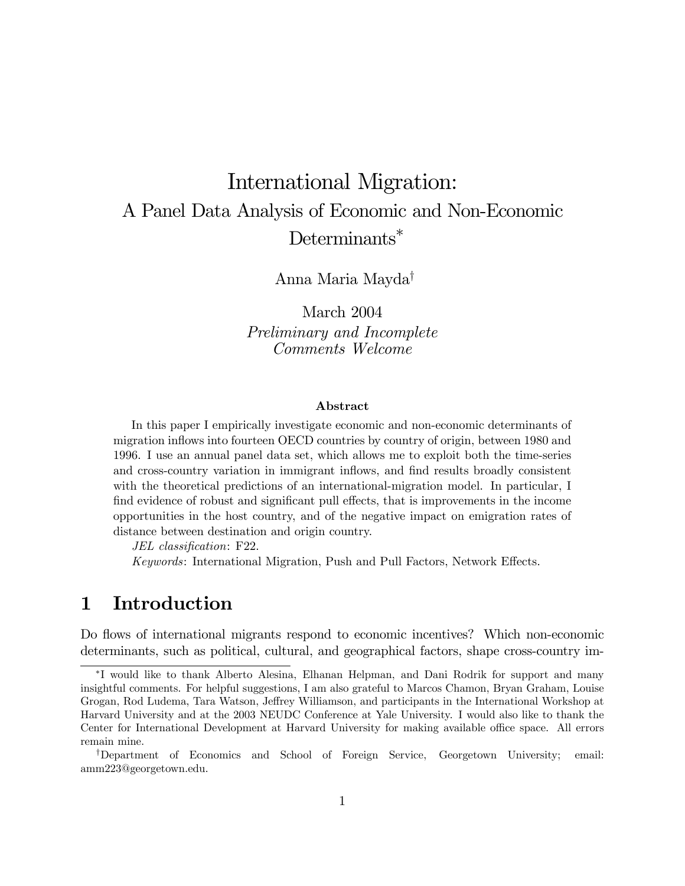# International Migration: A Panel Data Analysis of Economic and Non-Economic Determinants<sup>\*</sup>

Anna Maria Mayda†

March 2004 Preliminary and Incomplete Comments Welcome

#### Abstract

In this paper I empirically investigate economic and non-economic determinants of migration inflows into fourteen OECD countries by country of origin, between 1980 and 1996. I use an annual panel data set, which allows me to exploit both the time-series and cross-country variation in immigrant inflows, and find results broadly consistent with the theoretical predictions of an international-migration model. In particular, I find evidence of robust and significant pull effects, that is improvements in the income opportunities in the host country, and of the negative impact on emigration rates of distance between destination and origin country.

JEL classification: F22.

Keywords: International Migration, Push and Pull Factors, Network Effects.

## 1 Introduction

Do flows of international migrants respond to economic incentives? Which non-economic determinants, such as political, cultural, and geographical factors, shape cross-country im-

<sup>∗</sup>I would like to thank Alberto Alesina, Elhanan Helpman, and Dani Rodrik for support and many insightful comments. For helpful suggestions, I am also grateful to Marcos Chamon, Bryan Graham, Louise Grogan, Rod Ludema, Tara Watson, Jeffrey Williamson, and participants in the International Workshop at Harvard University and at the 2003 NEUDC Conference at Yale University. I would also like to thank the Center for International Development at Harvard University for making available office space. All errors remain mine.

<sup>†</sup>Department of Economics and School of Foreign Service, Georgetown University; email: amm223@georgetown.edu.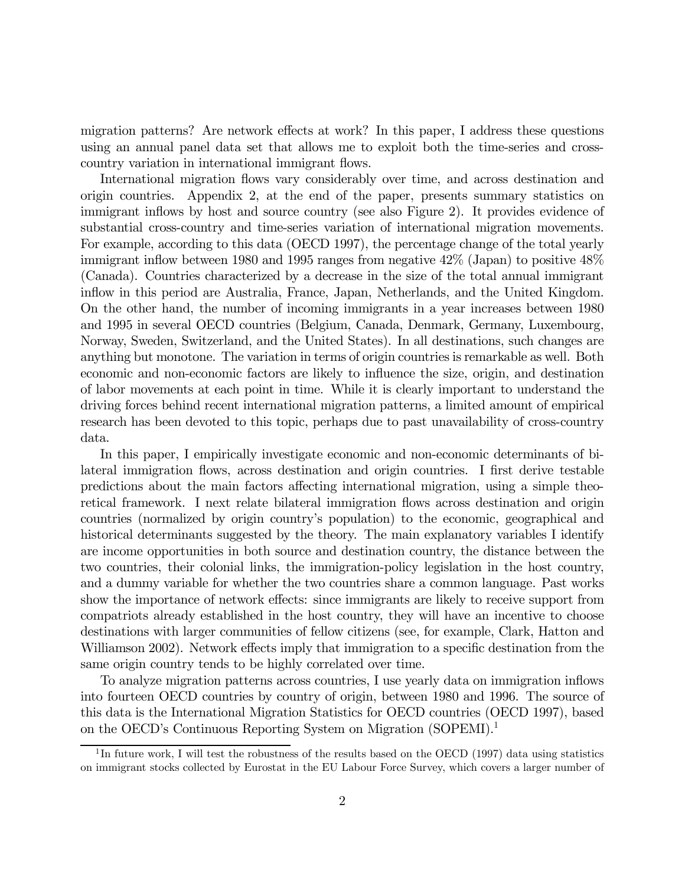migration patterns? Are network effects at work? In this paper, I address these questions using an annual panel data set that allows me to exploit both the time-series and crosscountry variation in international immigrant flows.

International migration flows vary considerably over time, and across destination and origin countries. Appendix 2, at the end of the paper, presents summary statistics on immigrant inflows by host and source country (see also Figure 2). It provides evidence of substantial cross-country and time-series variation of international migration movements. For example, according to this data (OECD 1997), the percentage change of the total yearly immigrant inflow between 1980 and 1995 ranges from negative 42% (Japan) to positive 48% (Canada). Countries characterized by a decrease in the size of the total annual immigrant inflow in this period are Australia, France, Japan, Netherlands, and the United Kingdom. On the other hand, the number of incoming immigrants in a year increases between 1980 and 1995 in several OECD countries (Belgium, Canada, Denmark, Germany, Luxembourg, Norway, Sweden, Switzerland, and the United States). In all destinations, such changes are anything but monotone. The variation in terms of origin countries is remarkable as well. Both economic and non-economic factors are likely to influence the size, origin, and destination of labor movements at each point in time. While it is clearly important to understand the driving forces behind recent international migration patterns, a limited amount of empirical research has been devoted to this topic, perhaps due to past unavailability of cross-country data.

In this paper, I empirically investigate economic and non-economic determinants of bilateral immigration flows, across destination and origin countries. I first derive testable predictions about the main factors affecting international migration, using a simple theoretical framework. I next relate bilateral immigration flows across destination and origin countries (normalized by origin country's population) to the economic, geographical and historical determinants suggested by the theory. The main explanatory variables I identify are income opportunities in both source and destination country, the distance between the two countries, their colonial links, the immigration-policy legislation in the host country, and a dummy variable for whether the two countries share a common language. Past works show the importance of network effects: since immigrants are likely to receive support from compatriots already established in the host country, they will have an incentive to choose destinations with larger communities of fellow citizens (see, for example, Clark, Hatton and Williamson 2002). Network effects imply that immigration to a specific destination from the same origin country tends to be highly correlated over time.

To analyze migration patterns across countries, I use yearly data on immigration inflows into fourteen OECD countries by country of origin, between 1980 and 1996. The source of this data is the International Migration Statistics for OECD countries (OECD 1997), based on the OECD's Continuous Reporting System on Migration (SOPEMI).1

<sup>&</sup>lt;sup>1</sup>In future work, I will test the robustness of the results based on the OECD (1997) data using statistics on immigrant stocks collected by Eurostat in the EU Labour Force Survey, which covers a larger number of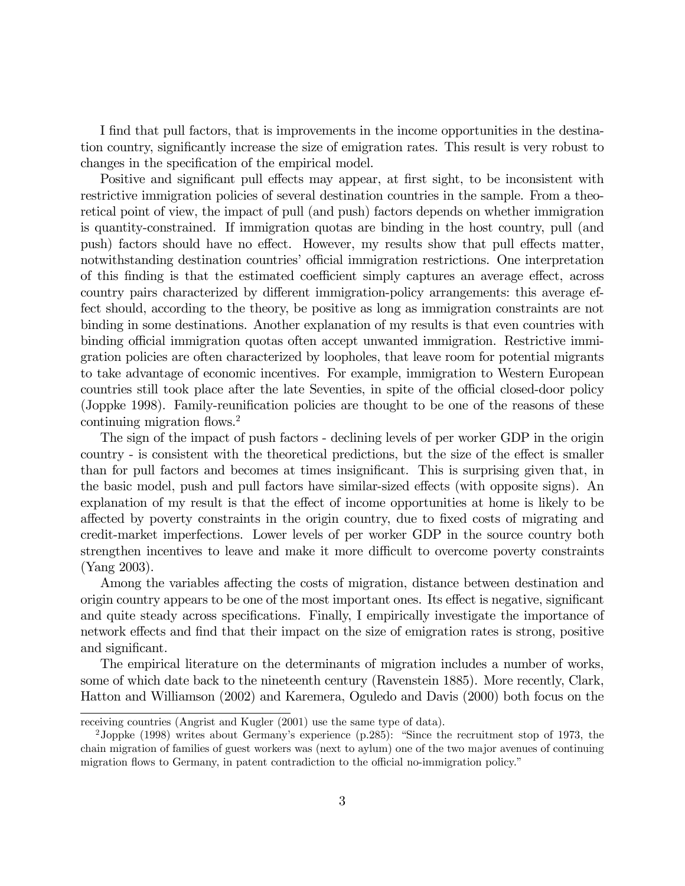I find that pull factors, that is improvements in the income opportunities in the destination country, significantly increase the size of emigration rates. This result is very robust to changes in the specification of the empirical model.

Positive and significant pull effects may appear, at first sight, to be inconsistent with restrictive immigration policies of several destination countries in the sample. From a theoretical point of view, the impact of pull (and push) factors depends on whether immigration is quantity-constrained. If immigration quotas are binding in the host country, pull (and push) factors should have no effect. However, my results show that pull effects matter, notwithstanding destination countries' official immigration restrictions. One interpretation of this finding is that the estimated coefficient simply captures an average effect, across country pairs characterized by different immigration-policy arrangements: this average effect should, according to the theory, be positive as long as immigration constraints are not binding in some destinations. Another explanation of my results is that even countries with binding official immigration quotas often accept unwanted immigration. Restrictive immigration policies are often characterized by loopholes, that leave room for potential migrants to take advantage of economic incentives. For example, immigration to Western European countries still took place after the late Seventies, in spite of the official closed-door policy (Joppke 1998). Family-reunification policies are thought to be one of the reasons of these continuing migration flows.2

The sign of the impact of push factors - declining levels of per worker GDP in the origin country - is consistent with the theoretical predictions, but the size of the effect is smaller than for pull factors and becomes at times insignificant. This is surprising given that, in the basic model, push and pull factors have similar-sized effects (with opposite signs). An explanation of my result is that the effect of income opportunities at home is likely to be affected by poverty constraints in the origin country, due to fixed costs of migrating and credit-market imperfections. Lower levels of per worker GDP in the source country both strengthen incentives to leave and make it more difficult to overcome poverty constraints (Yang 2003).

Among the variables affecting the costs of migration, distance between destination and origin country appears to be one of the most important ones. Its effect is negative, significant and quite steady across specifications. Finally, I empirically investigate the importance of network effects and find that their impact on the size of emigration rates is strong, positive and significant.

The empirical literature on the determinants of migration includes a number of works, some of which date back to the nineteenth century (Ravenstein 1885). More recently, Clark, Hatton and Williamson (2002) and Karemera, Oguledo and Davis (2000) both focus on the

receiving countries (Angrist and Kugler (2001) use the same type of data).

<sup>2</sup>Joppke (1998) writes about Germany's experience (p.285): "Since the recruitment stop of 1973, the chain migration of families of guest workers was (next to aylum) one of the two major avenues of continuing migration flows to Germany, in patent contradiction to the official no-immigration policy."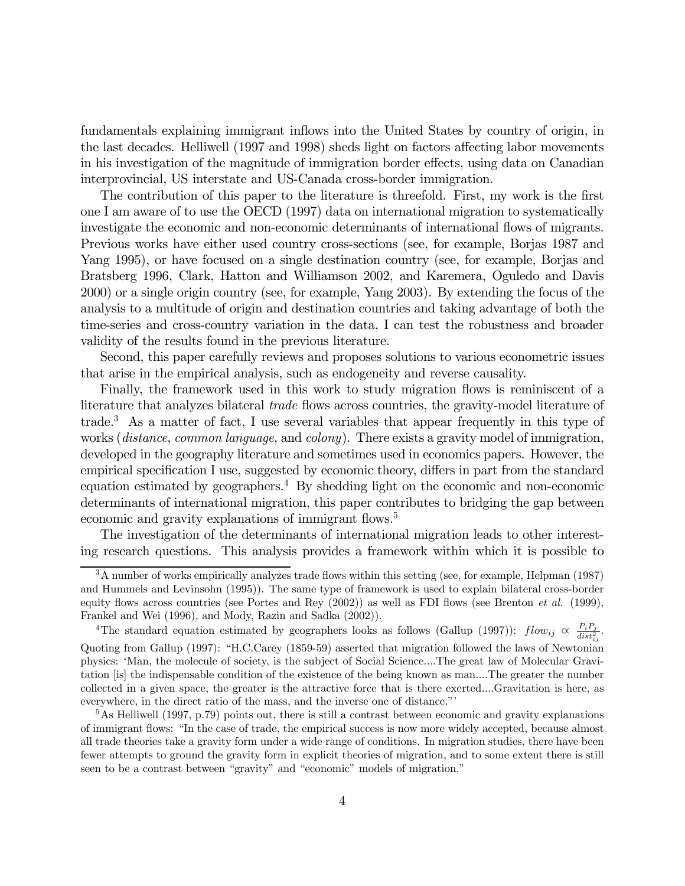fundamentals explaining immigrant inflows into the United States by country of origin, in the last decades. Helliwell (1997 and 1998) sheds light on factors affecting labor movements in his investigation of the magnitude of immigration border effects, using data on Canadian interprovincial, US interstate and US-Canada cross-border immigration.

The contribution of this paper to the literature is threefold. First, my work is the first one I am aware of to use the OECD (1997) data on international migration to systematically investigate the economic and non-economic determinants of international flows of migrants. Previous works have either used country cross-sections (see, for example, Borjas 1987 and Yang 1995), or have focused on a single destination country (see, for example, Borjas and Bratsberg 1996, Clark, Hatton and Williamson 2002, and Karemera, Oguledo and Davis 2000) or a single origin country (see, for example, Yang 2003). By extending the focus of the analysis to a multitude of origin and destination countries and taking advantage of both the time-series and cross-country variation in the data, I can test the robustness and broader validity of the results found in the previous literature.

Second, this paper carefully reviews and proposes solutions to various econometric issues that arise in the empirical analysis, such as endogeneity and reverse causality.

Finally, the framework used in this work to study migration flows is reminiscent of a literature that analyzes bilateral *trade* flows across countries, the gravity-model literature of trade.<sup>3</sup> As a matter of fact, I use several variables that appear frequently in this type of works (distance, common language, and colony). There exists a gravity model of immigration, developed in the geography literature and sometimes used in economics papers. However, the empirical specification I use, suggested by economic theory, differs in part from the standard equation estimated by geographers.<sup>4</sup> By shedding light on the economic and non-economic determinants of international migration, this paper contributes to bridging the gap between economic and gravity explanations of immigrant flows.<sup>5</sup>

The investigation of the determinants of international migration leads to other interesting research questions. This analysis provides a framework within which it is possible to

<sup>4</sup>The standard equation estimated by geographers looks as follows (Gallup (1997)):  $flow_{ij} \propto \frac{P_i P_j}{dist_{ij}^2}$ . Quoting from Gallup (1997): "H.C.Carey (1859-59) asserted that migration followed the laws of Newtonian physics: 'Man, the molecule of society, is the subject of Social Science....The great law of Molecular Gravitation [is] the indispensable condition of the existence of the being known as man....The greater the number collected in a given space, the greater is the attractive force that is there exerted....Gravitation is here, as everywhere, in the direct ratio of the mass, and the inverse one of distance."'

<sup>3</sup>A number of works empirically analyzes trade flows within this setting (see, for example, Helpman (1987) and Hummels and Levinsohn (1995)). The same type of framework is used to explain bilateral cross-border equity flows across countries (see Portes and Rey  $(2002)$ ) as well as FDI flows (see Brenton *et al.* (1999), Frankel and Wei (1996), and Mody, Razin and Sadka (2002)).

 $5$ As Helliwell (1997, p.79) points out, there is still a contrast between economic and gravity explanations of immigrant flows: "In the case of trade, the empirical success is now more widely accepted, because almost all trade theories take a gravity form under a wide range of conditions. In migration studies, there have been fewer attempts to ground the gravity form in explicit theories of migration, and to some extent there is still seen to be a contrast between "gravity" and "economic" models of migration."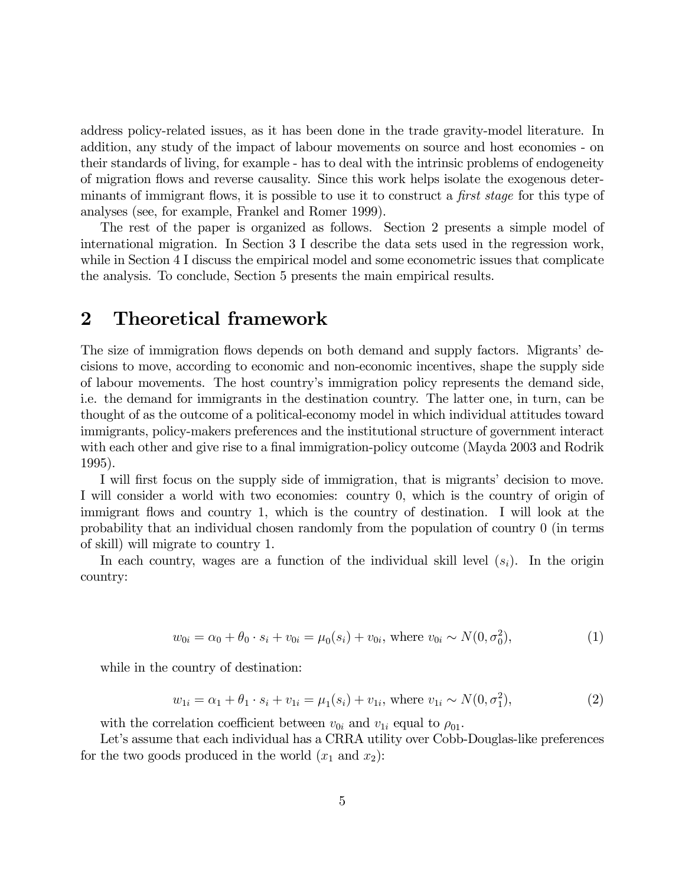address policy-related issues, as it has been done in the trade gravity-model literature. In addition, any study of the impact of labour movements on source and host economies - on their standards of living, for example - has to deal with the intrinsic problems of endogeneity of migration flows and reverse causality. Since this work helps isolate the exogenous determinants of immigrant flows, it is possible to use it to construct a *first stage* for this type of analyses (see, for example, Frankel and Romer 1999).

The rest of the paper is organized as follows. Section 2 presents a simple model of international migration. In Section 3 I describe the data sets used in the regression work, while in Section 4 I discuss the empirical model and some econometric issues that complicate the analysis. To conclude, Section 5 presents the main empirical results.

## 2 Theoretical framework

The size of immigration flows depends on both demand and supply factors. Migrants' decisions to move, according to economic and non-economic incentives, shape the supply side of labour movements. The host country's immigration policy represents the demand side, i.e. the demand for immigrants in the destination country. The latter one, in turn, can be thought of as the outcome of a political-economy model in which individual attitudes toward immigrants, policy-makers preferences and the institutional structure of government interact with each other and give rise to a final immigration-policy outcome (Mayda 2003 and Rodrik 1995).

I will first focus on the supply side of immigration, that is migrants' decision to move. I will consider a world with two economies: country 0, which is the country of origin of immigrant flows and country 1, which is the country of destination. I will look at the probability that an individual chosen randomly from the population of country 0 (in terms of skill) will migrate to country 1.

In each country, wages are a function of the individual skill level  $(s_i)$ . In the origin country:

$$
w_{0i} = \alpha_0 + \theta_0 \cdot s_i + v_{0i} = \mu_0(s_i) + v_{0i}, \text{ where } v_{0i} \sim N(0, \sigma_0^2),
$$
 (1)

while in the country of destination:

$$
w_{1i} = \alpha_1 + \theta_1 \cdot s_i + v_{1i} = \mu_1(s_i) + v_{1i}, \text{ where } v_{1i} \sim N(0, \sigma_1^2),
$$
\n(2)

with the correlation coefficient between  $v_{0i}$  and  $v_{1i}$  equal to  $\rho_{01}$ .

Let's assume that each individual has a CRRA utility over Cobb-Douglas-like preferences for the two goods produced in the world  $(x_1 \text{ and } x_2)$ :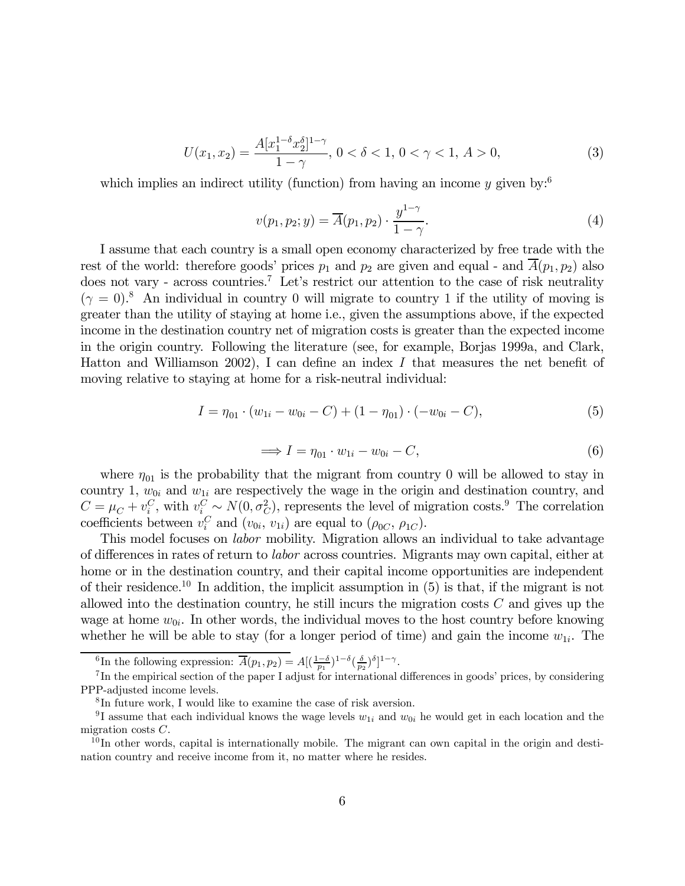$$
U(x_1, x_2) = \frac{A[x_1^{1-\delta}x_2^{\delta}]^{1-\gamma}}{1-\gamma}, \ 0 < \delta < 1, \ 0 < \gamma < 1, \ A > 0,\tag{3}
$$

which implies an indirect utility (function) from having an income y given by:<sup>6</sup>

$$
v(p_1, p_2; y) = \overline{A}(p_1, p_2) \cdot \frac{y^{1-\gamma}}{1-\gamma}.
$$
 (4)

I assume that each country is a small open economy characterized by free trade with the rest of the world: therefore goods' prices  $p_1$  and  $p_2$  are given and equal - and  $\overline{A}(p_1, p_2)$  also does not vary - across countries.<sup>7</sup> Let's restrict our attention to the case of risk neutrality  $(\gamma = 0)^8$  An individual in country 0 will migrate to country 1 if the utility of moving is greater than the utility of staying at home i.e., given the assumptions above, if the expected income in the destination country net of migration costs is greater than the expected income in the origin country. Following the literature (see, for example, Borjas 1999a, and Clark, Hatton and Williamson 2002), I can define an index I that measures the net benefit of moving relative to staying at home for a risk-neutral individual:

$$
I = \eta_{01} \cdot (w_{1i} - w_{0i} - C) + (1 - \eta_{01}) \cdot (-w_{0i} - C), \tag{5}
$$

$$
\implies I = \eta_{01} \cdot w_{1i} - w_{0i} - C,\tag{6}
$$

where  $\eta_{01}$  is the probability that the migrant from country 0 will be allowed to stay in country 1,  $w_{0i}$  and  $w_{1i}$  are respectively the wage in the origin and destination country, and  $C = \mu_C + v_i^C$ , with  $v_i^C \sim N(0, \sigma_C^2)$ , represents the level of migration costs.<sup>9</sup> The correlation coefficients between  $v_i^C$  and  $(v_{0i}, v_{1i})$  are equal to  $(\rho_{0C}, \rho_{1C})$ .

This model focuses on *labor* mobility. Migration allows an individual to take advantage of differences in rates of return to labor across countries. Migrants may own capital, either at home or in the destination country, and their capital income opportunities are independent of their residence.<sup>10</sup> In addition, the implicit assumption in  $(5)$  is that, if the migrant is not allowed into the destination country, he still incurs the migration costs  $C$  and gives up the wage at home  $w_{0i}$ . In other words, the individual moves to the host country before knowing whether he will be able to stay (for a longer period of time) and gain the income  $w_{1i}$ . The

<sup>&</sup>lt;sup>6</sup>In the following expression:  $\overline{A}(p_1, p_2) = A[(\frac{1-\delta}{p_1})^{1-\delta}(\frac{\delta}{p_2})^{\delta}]^{1-\gamma}$ .

<sup>&</sup>lt;sup>7</sup>In the empirical section of the paper I adjust for international differences in goods' prices, by considering PPP-adjusted income levels.

<sup>8</sup> In future work, I would like to examine the case of risk aversion.

<sup>&</sup>lt;sup>9</sup>I assume that each individual knows the wage levels  $w_{1i}$  and  $w_{0i}$  he would get in each location and the migration costs  $C$ .

 $10$  In other words, capital is internationally mobile. The migrant can own capital in the origin and destination country and receive income from it, no matter where he resides.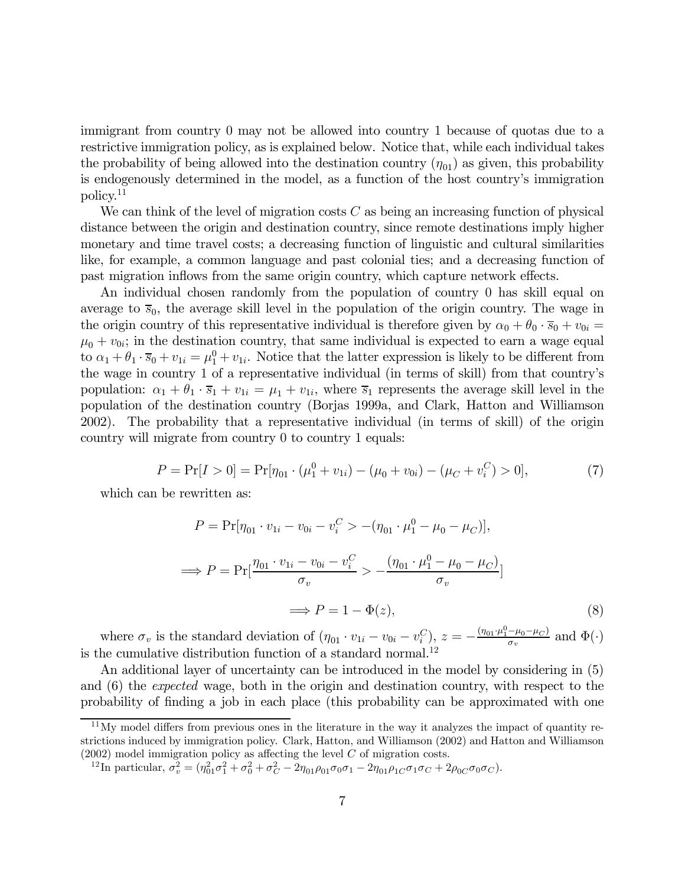immigrant from country 0 may not be allowed into country 1 because of quotas due to a restrictive immigration policy, as is explained below. Notice that, while each individual takes the probability of being allowed into the destination country  $(\eta_{01})$  as given, this probability is endogenously determined in the model, as a function of the host country's immigration policy.11

We can think of the level of migration costs  $C$  as being an increasing function of physical distance between the origin and destination country, since remote destinations imply higher monetary and time travel costs; a decreasing function of linguistic and cultural similarities like, for example, a common language and past colonial ties; and a decreasing function of past migration inflows from the same origin country, which capture network effects.

An individual chosen randomly from the population of country 0 has skill equal on average to  $\bar{s}_0$ , the average skill level in the population of the origin country. The wage in the origin country of this representative individual is therefore given by  $\alpha_0 + \theta_0 \cdot \overline{s}_0 + v_{0i} =$  $\mu_0 + v_{0i}$ ; in the destination country, that same individual is expected to earn a wage equal to  $\alpha_1 + \theta_1 \cdot \overline{s}_0 + v_{1i} = \mu_1^0 + v_{1i}$ . Notice that the latter expression is likely to be different from the wage in country 1 of a representative individual (in terms of skill) from that country's population:  $\alpha_1 + \theta_1 \cdot \overline{s}_1 + v_{1i} = \mu_1 + v_{1i}$ , where  $\overline{s}_1$  represents the average skill level in the population of the destination country (Borjas 1999a, and Clark, Hatton and Williamson 2002). The probability that a representative individual (in terms of skill) of the origin country will migrate from country 0 to country 1 equals:

$$
P = \Pr[I > 0] = \Pr[\eta_{01} \cdot (\mu_1^0 + v_{1i}) - (\mu_0 + v_{0i}) - (\mu_C + v_i^C) > 0],\tag{7}
$$

which can be rewritten as:

$$
P = \Pr[\eta_{01} \cdot v_{1i} - v_{0i} - v_i^C > -(\eta_{01} \cdot \mu_1^0 - \mu_0 - \mu_C)],
$$
  
\n
$$
\implies P = \Pr[\frac{\eta_{01} \cdot v_{1i} - v_{0i} - v_i^C}{\sigma_v} > -\frac{(\eta_{01} \cdot \mu_1^0 - \mu_0 - \mu_C)}{\sigma_v}]
$$
  
\n
$$
\implies P = 1 - \Phi(z), \tag{8}
$$

where  $\sigma_v$  is the standard deviation of  $(\eta_{01} \cdot v_{1i} - v_{0i} - v_i^C)$ ,  $z = -\frac{(\eta_{01} \cdot \mu_1^0 - \mu_0 - \mu_C)}{\sigma_v}$  and  $\Phi(\cdot)$ is the cumulative distribution function of a standard normal.<sup>12</sup>

An additional layer of uncertainty can be introduced in the model by considering in (5) and (6) the expected wage, both in the origin and destination country, with respect to the probability of finding a job in each place (this probability can be approximated with one

 $11$ My model differs from previous ones in the literature in the way it analyzes the impact of quantity restrictions induced by immigration policy. Clark, Hatton, and Williamson (2002) and Hatton and Williamson  $(2002)$  model immigration policy as affecting the level  $C$  of migration costs.

<sup>&</sup>lt;sup>12</sup>In particular,  $\sigma_v^2 = (\eta_{01}^2 \sigma_1^2 + \sigma_0^2 + \sigma_C^2 - 2\eta_{01}\rho_{01}\sigma_0\sigma_1 - 2\eta_{01}\rho_{1C}\sigma_1\sigma_C + 2\rho_{0C}\sigma_0\sigma_C).$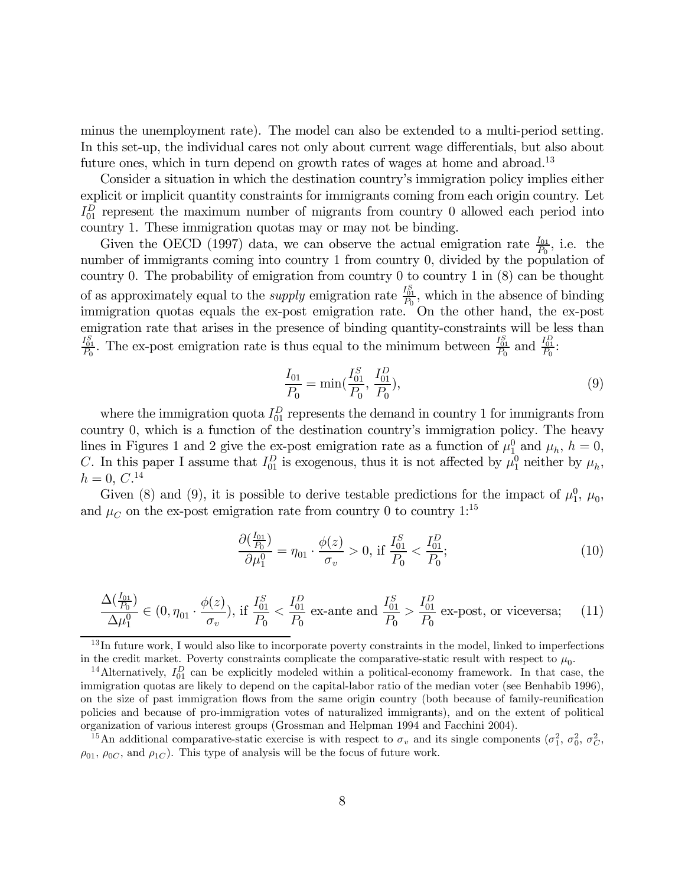minus the unemployment rate). The model can also be extended to a multi-period setting. In this set-up, the individual cares not only about current wage differentials, but also about future ones, which in turn depend on growth rates of wages at home and abroad.<sup>13</sup>

Consider a situation in which the destination country's immigration policy implies either explicit or implicit quantity constraints for immigrants coming from each origin country. Let  $I_{01}^D$  represent the maximum number of migrants from country 0 allowed each period into country 1. These immigration quotas may or may not be binding.

Given the OECD (1997) data, we can observe the actual emigration rate  $\frac{I_{01}}{P_0}$ , i.e. the number of immigrants coming into country 1 from country 0, divided by the population of country 0. The probability of emigration from country 0 to country 1 in (8) can be thought of as approximately equal to the *supply* emigration rate  $\frac{I_{01}^S}{P_0}$ , which in the absence of binding immigration quotas equals the ex-post emigration rate. On the other hand, the ex-post emigration rate that arises in the presence of binding quantity-constraints will be less than  $\frac{I_{01}^S}{P_0}$ . The ex-post emigration rate is thus equal to the minimum between  $\frac{I_{01}^S}{P_0}$  and  $\frac{I_{01}^D}{P_0}$ :

$$
\frac{I_{01}}{P_0} = \min(\frac{I_{01}^S}{P_0}, \frac{I_{01}^D}{P_0}),
$$
\n(9)

where the immigration quota  $I_{01}^D$  represents the demand in country 1 for immigrants from country 0, which is a function of the destination country's immigration policy. The heavy lines in Figures 1 and 2 give the ex-post emigration rate as a function of  $\mu_1^0$  and  $\mu_h$ ,  $h = 0$ , C. In this paper I assume that  $I_{01}^D$  is exogenous, thus it is not affected by  $\mu_1^0$  neither by  $\mu_h$ ,  $h = 0, C.^{14}$ 

Given (8) and (9), it is possible to derive testable predictions for the impact of  $\mu_1^0$ ,  $\mu_0$ , and  $\mu_C$  on the ex-post emigration rate from country 0 to country 1:<sup>15</sup>

$$
\frac{\partial(\frac{I_{01}}{P_0})}{\partial \mu_1^0} = \eta_{01} \cdot \frac{\phi(z)}{\sigma_v} > 0, \text{ if } \frac{I_{01}^S}{P_0} < \frac{I_{01}^D}{P_0};
$$
\n(10)

$$
\frac{\Delta(\frac{I_{01}}{P_0})}{\Delta\mu_1^0} \in (0, \eta_{01} \cdot \frac{\phi(z)}{\sigma_v}), \text{ if } \frac{I_{01}^S}{P_0} < \frac{I_{01}^D}{P_0} \text{ ex-ante and } \frac{I_{01}^S}{P_0} > \frac{I_{01}^D}{P_0} \text{ ex-post, or vice versa}; \tag{11}
$$

 $^{13}$ In future work, I would also like to incorporate poverty constraints in the model, linked to imperfections

<sup>15</sup>An additional comparative-static exercise is with respect to  $\sigma_v$  and its single components  $(\sigma_1^2, \sigma_0^2, \sigma_C^2, \sigma_C^2)$  $\rho_{01}, \rho_{0C},$  and  $\rho_{1C}$ ). This type of analysis will be the focus of future work.

in the credit market. Poverty constraints complicate the comparative-static result with respect to  $\mu_0$ .<br><sup>14</sup>Alternatively,  $I_{01}^D$  can be explicitly modeled within a political-economy framework. In that case, the immigration quotas are likely to depend on the capital-labor ratio of the median voter (see Benhabib 1996), on the size of past immigration flows from the same origin country (both because of family-reunification policies and because of pro-immigration votes of naturalized immigrants), and on the extent of political organization of various interest groups (Grossman and Helpman 1994 and Facchini 2004).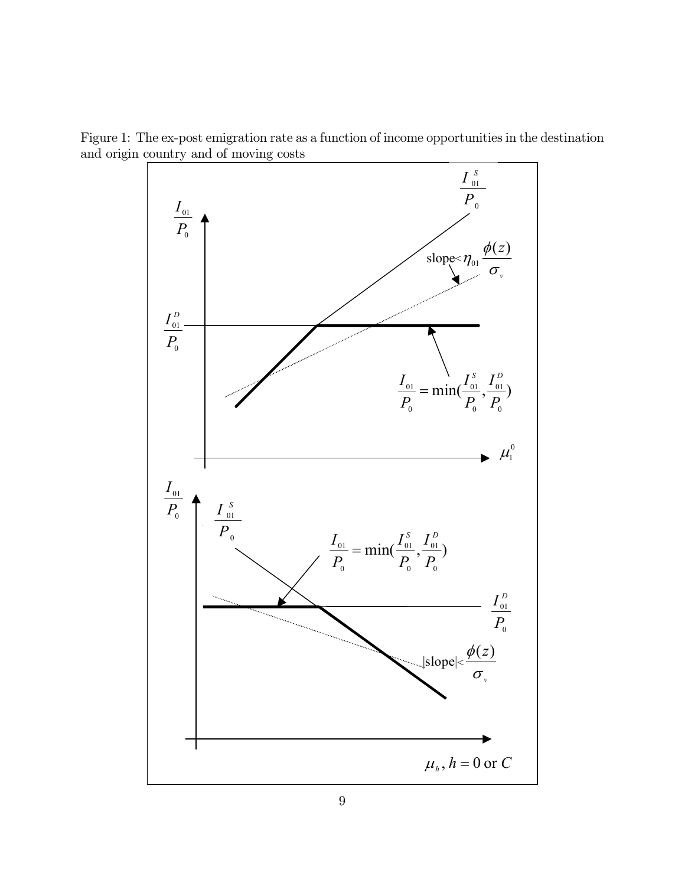Figure 1: The ex-post emigration rate as a function of income opportunities in the destination and origin country and of moving costs

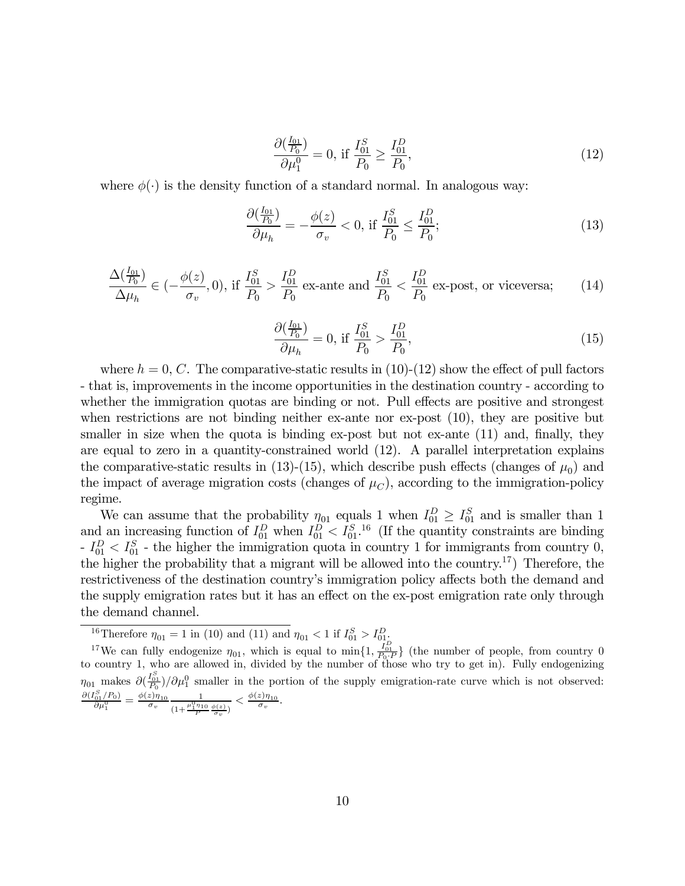$$
\frac{\partial(\frac{I_{01}}{P_0})}{\partial \mu_1^0} = 0, \text{ if } \frac{I_{01}^S}{P_0} \ge \frac{I_{01}^D}{P_0},\tag{12}
$$

where  $\phi(\cdot)$  is the density function of a standard normal. In analogous way:

$$
\frac{\partial(\frac{I_{01}}{P_0})}{\partial \mu_h} = -\frac{\phi(z)}{\sigma_v} < 0, \text{ if } \frac{I_{01}^S}{P_0} \le \frac{I_{01}^D}{P_0};\tag{13}
$$

$$
\frac{\Delta(\frac{I_{01}}{P_0})}{\Delta\mu_h} \in (-\frac{\phi(z)}{\sigma_v}, 0), \text{ if } \frac{I_{01}^S}{P_0} > \frac{I_{01}^D}{P_0} \text{ ex-ante and } \frac{I_{01}^S}{P_0} < \frac{I_{01}^D}{P_0} \text{ ex-post, or vice versa};\qquad(14)
$$

$$
\frac{\partial(\frac{I_{01}}{P_0})}{\partial \mu_h} = 0, \text{ if } \frac{I_{01}^S}{P_0} > \frac{I_{01}^D}{P_0},\tag{15}
$$

where  $h = 0, C$ . The comparative-static results in (10)-(12) show the effect of pull factors - that is, improvements in the income opportunities in the destination country - according to whether the immigration quotas are binding or not. Pull effects are positive and strongest when restrictions are not binding neither ex-ante nor ex-post  $(10)$ , they are positive but smaller in size when the quota is binding ex-post but not ex-ante (11) and, finally, they are equal to zero in a quantity-constrained world (12). A parallel interpretation explains the comparative-static results in (13)-(15), which describe push effects (changes of  $\mu_0$ ) and the impact of average migration costs (changes of  $\mu_C$ ), according to the immigration-policy regime.

We can assume that the probability  $\eta_{01}$  equals 1 when  $I_{01}^D \geq I_{01}^S$  and is smaller than 1 and an increasing function of  $I_{01}^D$  when  $I_{01}^D < I_{01}^{S}$ .<sup>16</sup> (If the quantity constraints are binding  $-I_{01}^D < I_{01}^S$  - the higher the immigration quota in country 1 for immigrants from country 0, the higher the probability that a migrant will be allowed into the country.<sup>17</sup>) Therefore, the restrictiveness of the destination country's immigration policy affects both the demand and the supply emigration rates but it has an effect on the ex-post emigration rate only through the demand channel.

<sup>&</sup>lt;sup>16</sup>Therefore  $\eta_{01} = 1$  in (10) and (11) and  $\eta_{01} < 1$  if  $I_{01}^S > I_{01}^D$ .

<sup>&</sup>lt;sup>17</sup>We can fully endogenize  $\eta_{01}$ , which is equal to min $\{1, \frac{I_{01}^D}{P_0 \cdot P}\}$  (the number of people, from country 0 to country 1, who are allowed in, divided by the number of those who try to get in). Fully endogen  $\eta_{01}$  makes  $\partial(\frac{I_{01}^S}{P_0})/\partial\mu_1^0$  smaller in the portion of the supply emigration-rate curve which is not observed:  $\frac{\partial (I_{01}^S/P_0)}{\partial \mu_1^0} = \frac{\phi(z) \eta_{10}}{\sigma_v} \frac{1}{(1+\frac{\mu_1^0 \eta_{10}}{P}\frac{\phi(z)}{\sigma_v})}$  $\langle \frac{\phi(z)\eta_{10}}{\sigma_v}.$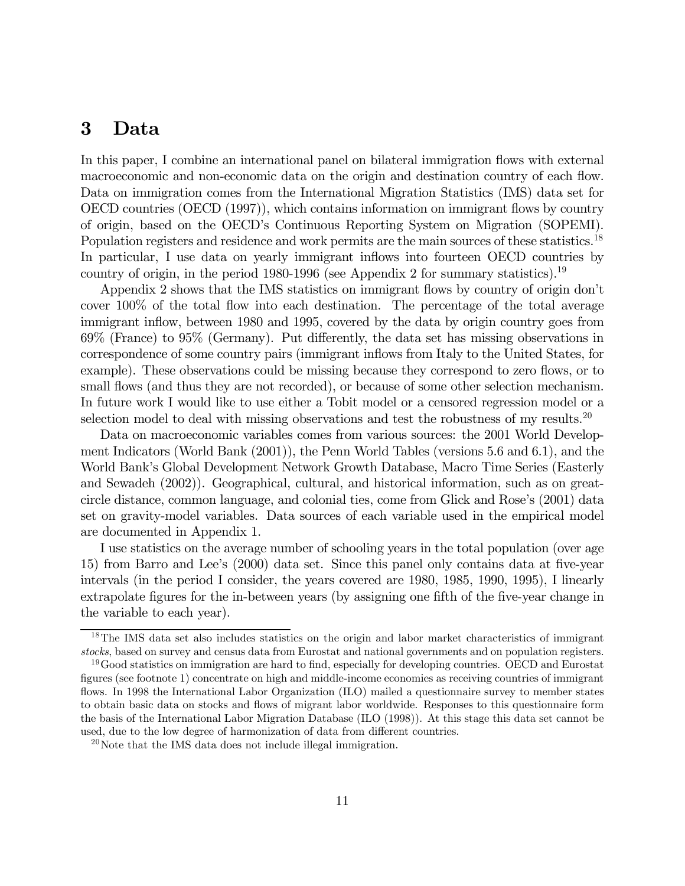#### 3 Data

In this paper, I combine an international panel on bilateral immigration flows with external macroeconomic and non-economic data on the origin and destination country of each flow. Data on immigration comes from the International Migration Statistics (IMS) data set for OECD countries (OECD (1997)), which contains information on immigrant flows by country of origin, based on the OECD's Continuous Reporting System on Migration (SOPEMI). Population registers and residence and work permits are the main sources of these statistics.<sup>18</sup> In particular, I use data on yearly immigrant inflows into fourteen OECD countries by country of origin, in the period 1980-1996 (see Appendix 2 for summary statistics).<sup>19</sup>

Appendix 2 shows that the IMS statistics on immigrant flows by country of origin don't cover 100% of the total flow into each destination. The percentage of the total average immigrant inflow, between 1980 and 1995, covered by the data by origin country goes from 69% (France) to 95% (Germany). Put differently, the data set has missing observations in correspondence of some country pairs (immigrant inflows from Italy to the United States, for example). These observations could be missing because they correspond to zero flows, or to small flows (and thus they are not recorded), or because of some other selection mechanism. In future work I would like to use either a Tobit model or a censored regression model or a selection model to deal with missing observations and test the robustness of my results.<sup>20</sup>

Data on macroeconomic variables comes from various sources: the 2001 World Development Indicators (World Bank (2001)), the Penn World Tables (versions 5.6 and 6.1), and the World Bank's Global Development Network Growth Database, Macro Time Series (Easterly and Sewadeh (2002)). Geographical, cultural, and historical information, such as on greatcircle distance, common language, and colonial ties, come from Glick and Rose's (2001) data set on gravity-model variables. Data sources of each variable used in the empirical model are documented in Appendix 1.

I use statistics on the average number of schooling years in the total population (over age 15) from Barro and Lee's (2000) data set. Since this panel only contains data at five-year intervals (in the period I consider, the years covered are 1980, 1985, 1990, 1995), I linearly extrapolate figures for the in-between years (by assigning one fifth of the five-year change in the variable to each year).

<sup>&</sup>lt;sup>18</sup>The IMS data set also includes statistics on the origin and labor market characteristics of immigrant stocks, based on survey and census data from Eurostat and national governments and on population registers.

<sup>&</sup>lt;sup>19</sup>Good statistics on immigration are hard to find, especially for developing countries. OECD and Eurostat figures (see footnote 1) concentrate on high and middle-income economies as receiving countries of immigrant flows. In 1998 the International Labor Organization (ILO) mailed a questionnaire survey to member states to obtain basic data on stocks and flows of migrant labor worldwide. Responses to this questionnaire form the basis of the International Labor Migration Database (ILO (1998)). At this stage this data set cannot be used, due to the low degree of harmonization of data from different countries.

 $^{20}$ Note that the IMS data does not include illegal immigration.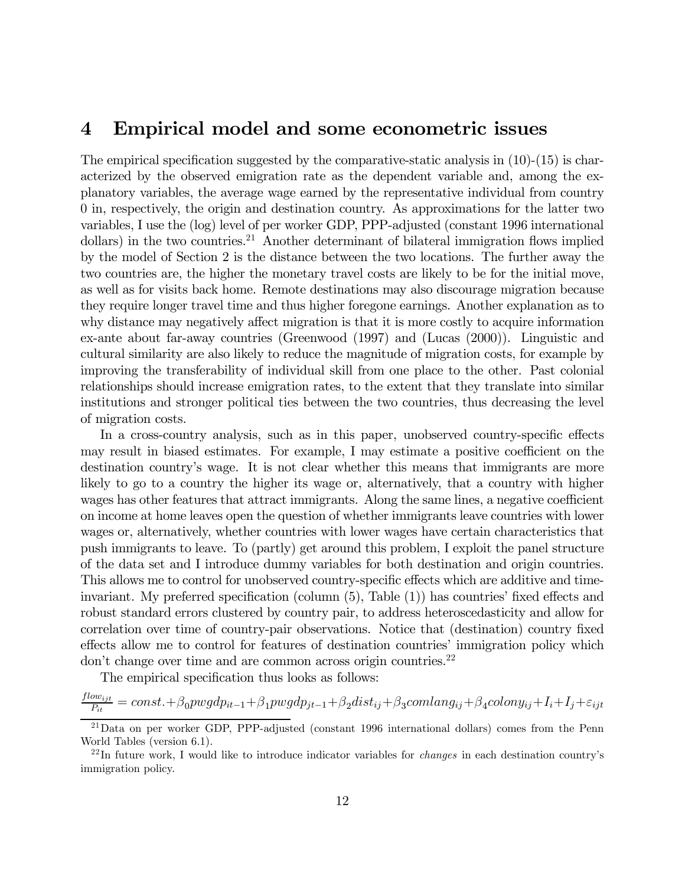#### 4 Empirical model and some econometric issues

The empirical specification suggested by the comparative-static analysis in  $(10)-(15)$  is characterized by the observed emigration rate as the dependent variable and, among the explanatory variables, the average wage earned by the representative individual from country 0 in, respectively, the origin and destination country. As approximations for the latter two variables, I use the (log) level of per worker GDP, PPP-adjusted (constant 1996 international dollars) in the two countries.<sup>21</sup> Another determinant of bilateral immigration flows implied by the model of Section 2 is the distance between the two locations. The further away the two countries are, the higher the monetary travel costs are likely to be for the initial move, as well as for visits back home. Remote destinations may also discourage migration because they require longer travel time and thus higher foregone earnings. Another explanation as to why distance may negatively affect migration is that it is more costly to acquire information ex-ante about far-away countries (Greenwood (1997) and (Lucas (2000)). Linguistic and cultural similarity are also likely to reduce the magnitude of migration costs, for example by improving the transferability of individual skill from one place to the other. Past colonial relationships should increase emigration rates, to the extent that they translate into similar institutions and stronger political ties between the two countries, thus decreasing the level of migration costs.

In a cross-country analysis, such as in this paper, unobserved country-specific effects may result in biased estimates. For example, I may estimate a positive coefficient on the destination country's wage. It is not clear whether this means that immigrants are more likely to go to a country the higher its wage or, alternatively, that a country with higher wages has other features that attract immigrants. Along the same lines, a negative coefficient on income at home leaves open the question of whether immigrants leave countries with lower wages or, alternatively, whether countries with lower wages have certain characteristics that push immigrants to leave. To (partly) get around this problem, I exploit the panel structure of the data set and I introduce dummy variables for both destination and origin countries. This allows me to control for unobserved country-specific effects which are additive and timeinvariant. My preferred specification (column (5), Table (1)) has countries' fixed effects and robust standard errors clustered by country pair, to address heteroscedasticity and allow for correlation over time of country-pair observations. Notice that (destination) country fixed effects allow me to control for features of destination countries' immigration policy which don't change over time and are common across origin countries.<sup>22</sup>

The empirical specification thus looks as follows:

 $\frac{flow_{ijt}}{P_{it}} = const. + \beta_0 pwgdp_{it-1} + \beta_1 pwgdp_{jt-1} + \beta_2 dist_{ij} + \beta_3 comlang_{ij} + \beta_4 colony_{ij} + I_i + I_j + \varepsilon_{ijt}$ 

 $^{21}$ Data on per worker GDP, PPP-adjusted (constant 1996 international dollars) comes from the Penn World Tables (version 6.1).

 $^{22}$ In future work, I would like to introduce indicator variables for *changes* in each destination country's immigration policy.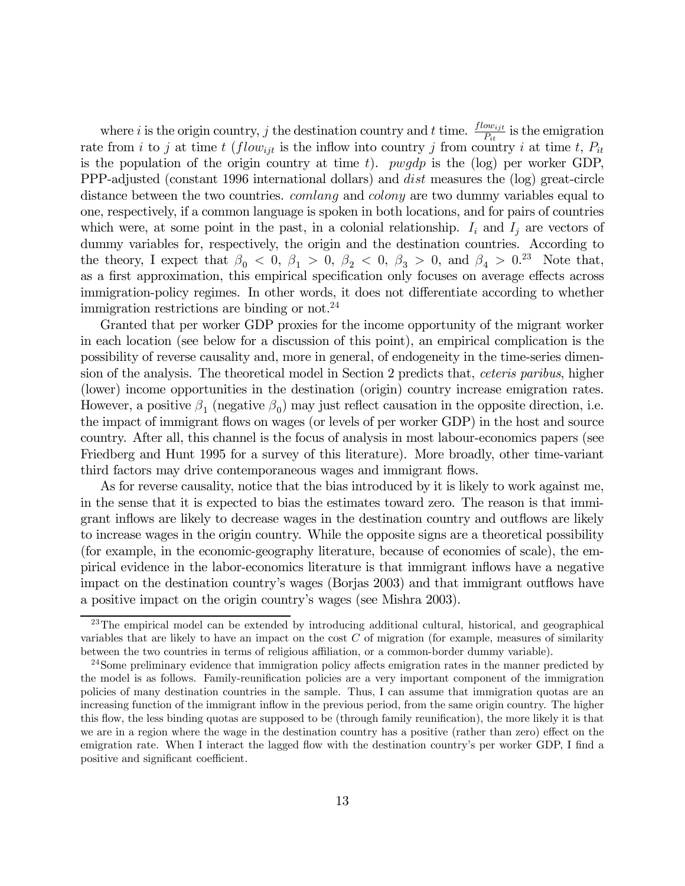where i is the origin country, j the destination country and t time.  $\frac{flow_{ijt}}{P_{it}}$  is the emigration rate from i to j at time t (flow<sub>ijt</sub> is the inflow into country j from country i at time t,  $P_{it}$ is the population of the origin country at time t). *pwgdp* is the (log) per worker GDP, PPP-adjusted (constant 1996 international dollars) and dist measures the (log) great-circle distance between the two countries. *comlang* and *colony* are two dummy variables equal to one, respectively, if a common language is spoken in both locations, and for pairs of countries which were, at some point in the past, in a colonial relationship.  $I_i$  and  $I_j$  are vectors of dummy variables for, respectively, the origin and the destination countries. According to the theory, I expect that  $\beta_0 < 0$ ,  $\beta_1 > 0$ ,  $\beta_2 < 0$ ,  $\beta_3 > 0$ , and  $\beta_4 > 0$ .<sup>23</sup> Note that, as a first approximation, this empirical specification only focuses on average effects across immigration-policy regimes. In other words, it does not differentiate according to whether immigration restrictions are binding or not.<sup>24</sup>

Granted that per worker GDP proxies for the income opportunity of the migrant worker in each location (see below for a discussion of this point), an empirical complication is the possibility of reverse causality and, more in general, of endogeneity in the time-series dimension of the analysis. The theoretical model in Section 2 predicts that, ceteris paribus, higher (lower) income opportunities in the destination (origin) country increase emigration rates. However, a positive  $\beta_1$  (negative  $\beta_0$ ) may just reflect causation in the opposite direction, i.e. the impact of immigrant flows on wages (or levels of per worker GDP) in the host and source country. After all, this channel is the focus of analysis in most labour-economics papers (see Friedberg and Hunt 1995 for a survey of this literature). More broadly, other time-variant third factors may drive contemporaneous wages and immigrant flows.

As for reverse causality, notice that the bias introduced by it is likely to work against me, in the sense that it is expected to bias the estimates toward zero. The reason is that immigrant inflows are likely to decrease wages in the destination country and outflows are likely to increase wages in the origin country. While the opposite signs are a theoretical possibility (for example, in the economic-geography literature, because of economies of scale), the empirical evidence in the labor-economics literature is that immigrant inflows have a negative impact on the destination country's wages (Borjas 2003) and that immigrant outflows have a positive impact on the origin country's wages (see Mishra 2003).

<sup>&</sup>lt;sup>23</sup>The empirical model can be extended by introducing additional cultural, historical, and geographical variables that are likely to have an impact on the cost  $C$  of migration (for example, measures of similarity between the two countries in terms of religious affiliation, or a common-border dummy variable).

<sup>&</sup>lt;sup>24</sup>Some preliminary evidence that immigration policy affects emigration rates in the manner predicted by the model is as follows. Family-reunification policies are a very important component of the immigration policies of many destination countries in the sample. Thus, I can assume that immigration quotas are an increasing function of the immigrant inflow in the previous period, from the same origin country. The higher this flow, the less binding quotas are supposed to be (through family reunification), the more likely it is that we are in a region where the wage in the destination country has a positive (rather than zero) effect on the emigration rate. When I interact the lagged flow with the destination country's per worker GDP, I find a positive and significant coefficient.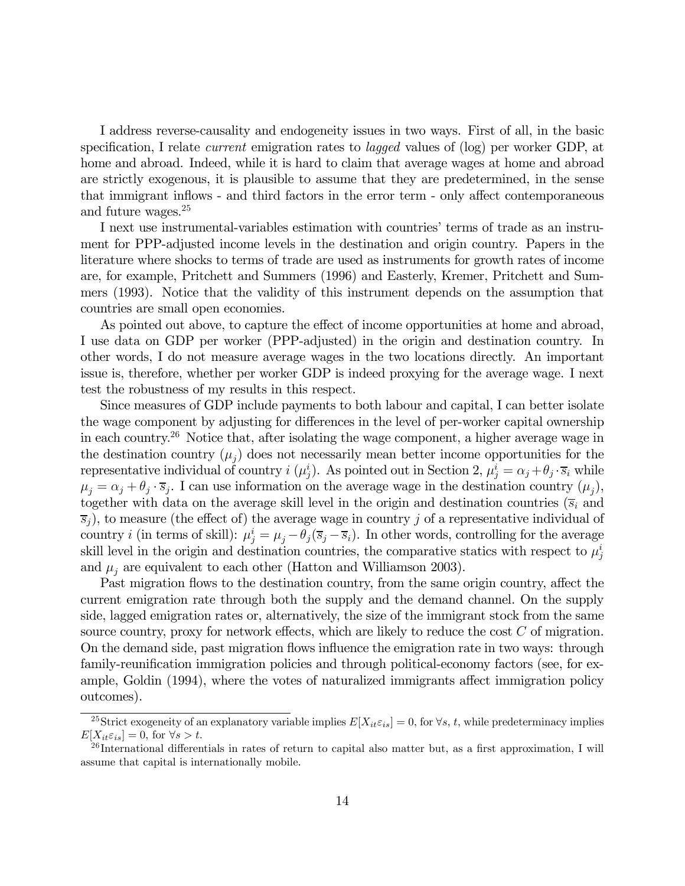I address reverse-causality and endogeneity issues in two ways. First of all, in the basic specification, I relate *current* emigration rates to *lagged* values of (log) per worker GDP, at home and abroad. Indeed, while it is hard to claim that average wages at home and abroad are strictly exogenous, it is plausible to assume that they are predetermined, in the sense that immigrant inflows - and third factors in the error term - only affect contemporaneous and future wages.25

I next use instrumental-variables estimation with countries' terms of trade as an instrument for PPP-adjusted income levels in the destination and origin country. Papers in the literature where shocks to terms of trade are used as instruments for growth rates of income are, for example, Pritchett and Summers (1996) and Easterly, Kremer, Pritchett and Summers (1993). Notice that the validity of this instrument depends on the assumption that countries are small open economies.

As pointed out above, to capture the effect of income opportunities at home and abroad, I use data on GDP per worker (PPP-adjusted) in the origin and destination country. In other words, I do not measure average wages in the two locations directly. An important issue is, therefore, whether per worker GDP is indeed proxying for the average wage. I next test the robustness of my results in this respect.

Since measures of GDP include payments to both labour and capital, I can better isolate the wage component by adjusting for differences in the level of per-worker capital ownership in each country.26 Notice that, after isolating the wage component, a higher average wage in the destination country  $(\mu_i)$  does not necessarily mean better income opportunities for the representative individual of country  $i(\mu_j^i)$ . As pointed out in Section 2,  $\mu_j^i = \alpha_j + \theta_j \cdot \overline{s}_i$  while  $\mu_j = \alpha_j + \theta_j \cdot \overline{s}_j$ . I can use information on the average wage in the destination country  $(\mu_j)$ , together with data on the average skill level in the origin and destination countries  $(\bar{s}_i$  and  $\overline{s}_j$ , to measure (the effect of) the average wage in country j of a representative individual of country *i* (in terms of skill):  $\mu_j^i = \mu_j - \theta_j(\overline{s}_j - \overline{s}_i)$ . In other words, controlling for the average skill level in the origin and destination countries, the comparative statics with respect to  $\mu_j^i$ and  $\mu_i$  are equivalent to each other (Hatton and Williamson 2003).

Past migration flows to the destination country, from the same origin country, affect the current emigration rate through both the supply and the demand channel. On the supply side, lagged emigration rates or, alternatively, the size of the immigrant stock from the same source country, proxy for network effects, which are likely to reduce the cost  $C$  of migration. On the demand side, past migration flows influence the emigration rate in two ways: through family-reunification immigration policies and through political-economy factors (see, for example, Goldin (1994), where the votes of naturalized immigrants affect immigration policy outcomes).

<sup>&</sup>lt;sup>25</sup>Strict exogeneity of an explanatory variable implies  $E[X_{it}\varepsilon_{is}]=0$ , for  $\forall s, t$ , while predeterminacy implies  $E[X_{it}\varepsilon_{is}]=0$ , for  $\forall s > t$ .

 $^{26}$ International differentials in rates of return to capital also matter but, as a first approximation, I will assume that capital is internationally mobile.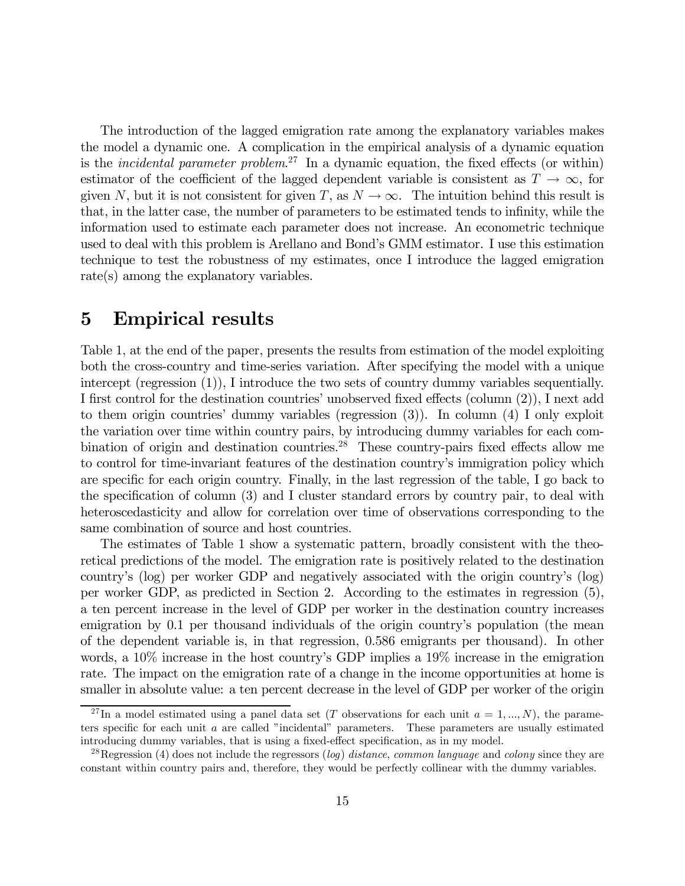The introduction of the lagged emigration rate among the explanatory variables makes the model a dynamic one. A complication in the empirical analysis of a dynamic equation is the *incidental parameter problem*.<sup>27</sup> In a dynamic equation, the fixed effects (or within) estimator of the coefficient of the lagged dependent variable is consistent as  $T \to \infty$ , for given N, but it is not consistent for given T, as  $N \to \infty$ . The intuition behind this result is that, in the latter case, the number of parameters to be estimated tends to infinity, while the information used to estimate each parameter does not increase. An econometric technique used to deal with this problem is Arellano and Bond's GMM estimator. I use this estimation technique to test the robustness of my estimates, once I introduce the lagged emigration rate(s) among the explanatory variables.

#### 5 Empirical results

Table 1, at the end of the paper, presents the results from estimation of the model exploiting both the cross-country and time-series variation. After specifying the model with a unique intercept (regression (1)), I introduce the two sets of country dummy variables sequentially. I first control for the destination countries' unobserved fixed effects (column (2)), I next add to them origin countries' dummy variables (regression (3)). In column (4) I only exploit the variation over time within country pairs, by introducing dummy variables for each combination of origin and destination countries.<sup>28</sup> These country-pairs fixed effects allow me to control for time-invariant features of the destination country's immigration policy which are specific for each origin country. Finally, in the last regression of the table, I go back to the specification of column (3) and I cluster standard errors by country pair, to deal with heteroscedasticity and allow for correlation over time of observations corresponding to the same combination of source and host countries.

The estimates of Table 1 show a systematic pattern, broadly consistent with the theoretical predictions of the model. The emigration rate is positively related to the destination country's (log) per worker GDP and negatively associated with the origin country's (log) per worker GDP, as predicted in Section 2. According to the estimates in regression (5), a ten percent increase in the level of GDP per worker in the destination country increases emigration by 0.1 per thousand individuals of the origin country's population (the mean of the dependent variable is, in that regression, 0.586 emigrants per thousand). In other words, a 10% increase in the host country's GDP implies a 19% increase in the emigration rate. The impact on the emigration rate of a change in the income opportunities at home is smaller in absolute value: a ten percent decrease in the level of GDP per worker of the origin

<sup>&</sup>lt;sup>27</sup>In a model estimated using a panel data set (T observations for each unit  $a = 1, ..., N$ ), the parameters specific for each unit a are called "incidental" parameters. These parameters are usually estimated introducing dummy variables, that is using a fixed-effect specification, as in my model.

<sup>&</sup>lt;sup>28</sup>Regression (4) does not include the regressors (log) distance, common language and colony since they are constant within country pairs and, therefore, they would be perfectly collinear with the dummy variables.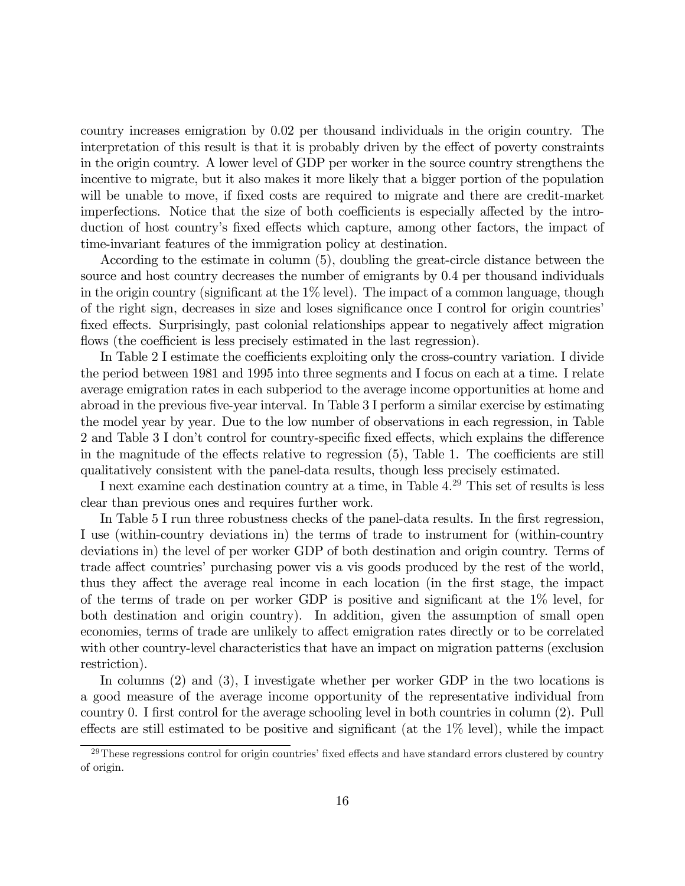country increases emigration by 0.02 per thousand individuals in the origin country. The interpretation of this result is that it is probably driven by the effect of poverty constraints in the origin country. A lower level of GDP per worker in the source country strengthens the incentive to migrate, but it also makes it more likely that a bigger portion of the population will be unable to move, if fixed costs are required to migrate and there are credit-market imperfections. Notice that the size of both coefficients is especially affected by the introduction of host country's fixed effects which capture, among other factors, the impact of time-invariant features of the immigration policy at destination.

According to the estimate in column (5), doubling the great-circle distance between the source and host country decreases the number of emigrants by 0.4 per thousand individuals in the origin country (significant at the  $1\%$  level). The impact of a common language, though of the right sign, decreases in size and loses significance once I control for origin countries' fixed effects. Surprisingly, past colonial relationships appear to negatively affect migration flows (the coefficient is less precisely estimated in the last regression).

In Table 2 I estimate the coefficients exploiting only the cross-country variation. I divide the period between 1981 and 1995 into three segments and I focus on each at a time. I relate average emigration rates in each subperiod to the average income opportunities at home and abroad in the previous five-year interval. In Table 3 I perform a similar exercise by estimating the model year by year. Due to the low number of observations in each regression, in Table 2 and Table 3 I don't control for country-specific fixed effects, which explains the difference in the magnitude of the effects relative to regression (5), Table 1. The coefficients are still qualitatively consistent with the panel-data results, though less precisely estimated.

I next examine each destination country at a time, in Table 4. <sup>29</sup> This set of results is less clear than previous ones and requires further work.

In Table 5 I run three robustness checks of the panel-data results. In the first regression, I use (within-country deviations in) the terms of trade to instrument for (within-country deviations in) the level of per worker GDP of both destination and origin country. Terms of trade affect countries' purchasing power vis a vis goods produced by the rest of the world, thus they affect the average real income in each location (in the first stage, the impact of the terms of trade on per worker GDP is positive and significant at the 1% level, for both destination and origin country). In addition, given the assumption of small open economies, terms of trade are unlikely to affect emigration rates directly or to be correlated with other country-level characteristics that have an impact on migration patterns (exclusion restriction).

In columns (2) and (3), I investigate whether per worker GDP in the two locations is a good measure of the average income opportunity of the representative individual from country 0. I first control for the average schooling level in both countries in column (2). Pull effects are still estimated to be positive and significant (at the 1% level), while the impact

<sup>&</sup>lt;sup>29</sup>These regressions control for origin countries' fixed effects and have standard errors clustered by country of origin.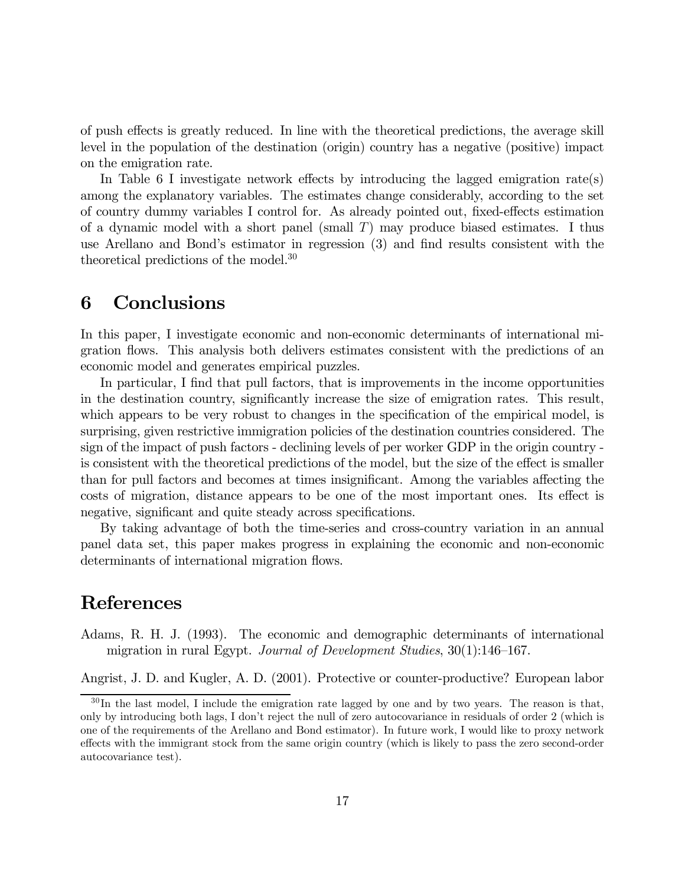of push effects is greatly reduced. In line with the theoretical predictions, the average skill level in the population of the destination (origin) country has a negative (positive) impact on the emigration rate.

In Table 6 I investigate network effects by introducing the lagged emigration rate(s) among the explanatory variables. The estimates change considerably, according to the set of country dummy variables I control for. As already pointed out, fixed-effects estimation of a dynamic model with a short panel (small  $T$ ) may produce biased estimates. I thus use Arellano and Bond's estimator in regression (3) and find results consistent with the theoretical predictions of the model.30

## 6 Conclusions

In this paper, I investigate economic and non-economic determinants of international migration flows. This analysis both delivers estimates consistent with the predictions of an economic model and generates empirical puzzles.

In particular, I find that pull factors, that is improvements in the income opportunities in the destination country, significantly increase the size of emigration rates. This result, which appears to be very robust to changes in the specification of the empirical model, is surprising, given restrictive immigration policies of the destination countries considered. The sign of the impact of push factors - declining levels of per worker GDP in the origin country is consistent with the theoretical predictions of the model, but the size of the effect is smaller than for pull factors and becomes at times insignificant. Among the variables affecting the costs of migration, distance appears to be one of the most important ones. Its effect is negative, significant and quite steady across specifications.

By taking advantage of both the time-series and cross-country variation in an annual panel data set, this paper makes progress in explaining the economic and non-economic determinants of international migration flows.

#### References

Adams, R. H. J. (1993). The economic and demographic determinants of international migration in rural Egypt. Journal of Development Studies, 30(1):146—167.

Angrist, J. D. and Kugler, A. D. (2001). Protective or counter-productive? European labor

<sup>&</sup>lt;sup>30</sup>In the last model, I include the emigration rate lagged by one and by two years. The reason is that, only by introducing both lags, I don't reject the null of zero autocovariance in residuals of order 2 (which is one of the requirements of the Arellano and Bond estimator). In future work, I would like to proxy network effects with the immigrant stock from the same origin country (which is likely to pass the zero second-order autocovariance test).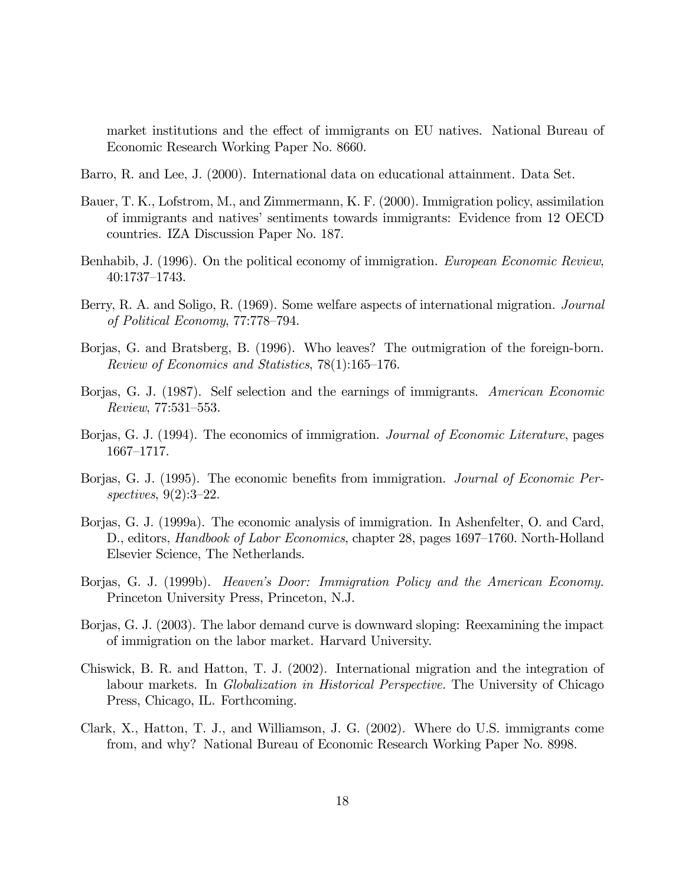market institutions and the effect of immigrants on EU natives. National Bureau of Economic Research Working Paper No. 8660.

- Barro, R. and Lee, J. (2000). International data on educational attainment. Data Set.
- Bauer, T. K., Lofstrom, M., and Zimmermann, K. F. (2000). Immigration policy, assimilation of immigrants and natives' sentiments towards immigrants: Evidence from 12 OECD countries. IZA Discussion Paper No. 187.
- Benhabib, J. (1996). On the political economy of immigration. European Economic Review, 40:1737—1743.
- Berry, R. A. and Soligo, R. (1969). Some welfare aspects of international migration. *Journal* of Political Economy, 77:778—794.
- Borjas, G. and Bratsberg, B. (1996). Who leaves? The outmigration of the foreign-born. Review of Economics and Statistics, 78(1):165—176.
- Borjas, G. J. (1987). Self selection and the earnings of immigrants. American Economic Review, 77:531—553.
- Borjas, G. J. (1994). The economics of immigration. *Journal of Economic Literature*, pages 1667—1717.
- Borjas, G. J. (1995). The economic benefits from immigration. *Journal of Economic Per*spectives, 9(2):3—22.
- Borjas, G. J. (1999a). The economic analysis of immigration. In Ashenfelter, O. and Card, D., editors, *Handbook of Labor Economics*, chapter 28, pages 1697–1760. North-Holland Elsevier Science, The Netherlands.
- Borjas, G. J. (1999b). Heaven's Door: Immigration Policy and the American Economy. Princeton University Press, Princeton, N.J.
- Borjas, G. J. (2003). The labor demand curve is downward sloping: Reexamining the impact of immigration on the labor market. Harvard University.
- Chiswick, B. R. and Hatton, T. J. (2002). International migration and the integration of labour markets. In Globalization in Historical Perspective. The University of Chicago Press, Chicago, IL. Forthcoming.
- Clark, X., Hatton, T. J., and Williamson, J. G. (2002). Where do U.S. immigrants come from, and why? National Bureau of Economic Research Working Paper No. 8998.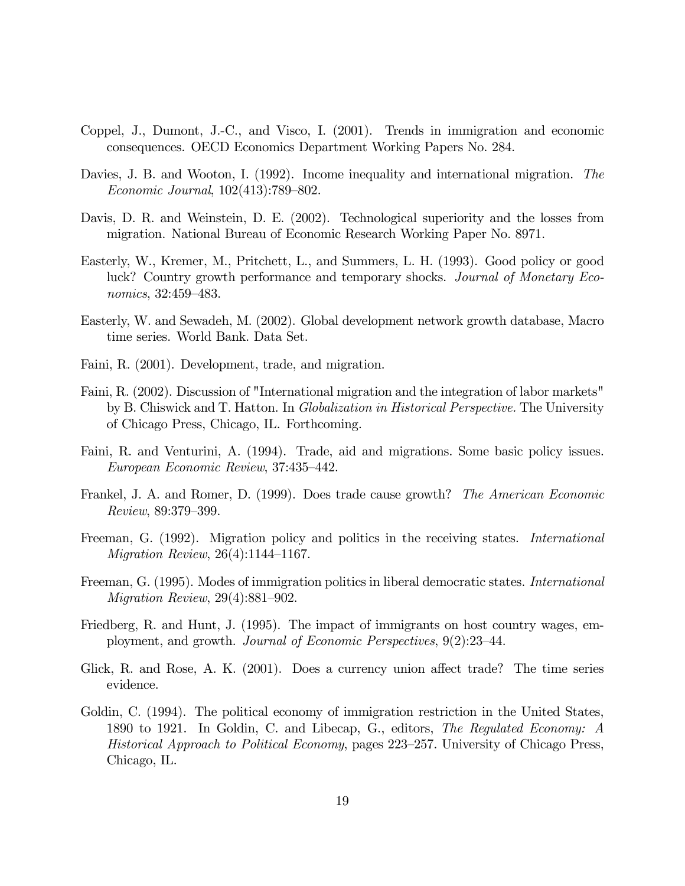- Coppel, J., Dumont, J.-C., and Visco, I. (2001). Trends in immigration and economic consequences. OECD Economics Department Working Papers No. 284.
- Davies, J. B. and Wooton, I. (1992). Income inequality and international migration. The Economic Journal, 102(413):789—802.
- Davis, D. R. and Weinstein, D. E. (2002). Technological superiority and the losses from migration. National Bureau of Economic Research Working Paper No. 8971.
- Easterly, W., Kremer, M., Pritchett, L., and Summers, L. H. (1993). Good policy or good luck? Country growth performance and temporary shocks. Journal of Monetary Economics, 32:459—483.
- Easterly, W. and Sewadeh, M. (2002). Global development network growth database, Macro time series. World Bank. Data Set.
- Faini, R. (2001). Development, trade, and migration.
- Faini, R. (2002). Discussion of "International migration and the integration of labor markets" by B. Chiswick and T. Hatton. In Globalization in Historical Perspective. The University of Chicago Press, Chicago, IL. Forthcoming.
- Faini, R. and Venturini, A. (1994). Trade, aid and migrations. Some basic policy issues. European Economic Review, 37:435—442.
- Frankel, J. A. and Romer, D. (1999). Does trade cause growth? The American Economic Review, 89:379—399.
- Freeman, G. (1992). Migration policy and politics in the receiving states. *International* Migration Review, 26(4):1144—1167.
- Freeman, G. (1995). Modes of immigration politics in liberal democratic states. International Migration Review, 29(4):881—902.
- Friedberg, R. and Hunt, J. (1995). The impact of immigrants on host country wages, employment, and growth. Journal of Economic Perspectives, 9(2):23—44.
- Glick, R. and Rose, A. K. (2001). Does a currency union affect trade? The time series evidence.
- Goldin, C. (1994). The political economy of immigration restriction in the United States, 1890 to 1921. In Goldin, C. and Libecap, G., editors, The Regulated Economy: A Historical Approach to Political Economy, pages 223—257. University of Chicago Press, Chicago, IL.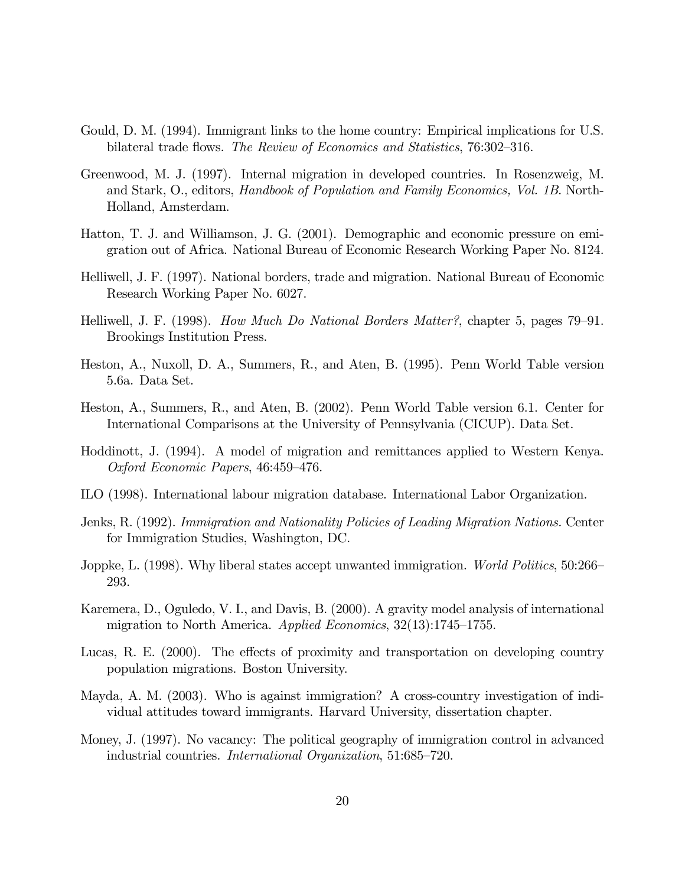- Gould, D. M. (1994). Immigrant links to the home country: Empirical implications for U.S. bilateral trade flows. The Review of Economics and Statistics, 76:302—316.
- Greenwood, M. J. (1997). Internal migration in developed countries. In Rosenzweig, M. and Stark, O., editors, Handbook of Population and Family Economics, Vol. 1B. North-Holland, Amsterdam.
- Hatton, T. J. and Williamson, J. G. (2001). Demographic and economic pressure on emigration out of Africa. National Bureau of Economic Research Working Paper No. 8124.
- Helliwell, J. F. (1997). National borders, trade and migration. National Bureau of Economic Research Working Paper No. 6027.
- Helliwell, J. F. (1998). How Much Do National Borders Matter?, chapter 5, pages 79—91. Brookings Institution Press.
- Heston, A., Nuxoll, D. A., Summers, R., and Aten, B. (1995). Penn World Table version 5.6a. Data Set.
- Heston, A., Summers, R., and Aten, B. (2002). Penn World Table version 6.1. Center for International Comparisons at the University of Pennsylvania (CICUP). Data Set.
- Hoddinott, J. (1994). A model of migration and remittances applied to Western Kenya. Oxford Economic Papers, 46:459—476.
- ILO (1998). International labour migration database. International Labor Organization.
- Jenks, R. (1992). Immigration and Nationality Policies of Leading Migration Nations. Center for Immigration Studies, Washington, DC.
- Joppke, L. (1998). Why liberal states accept unwanted immigration. *World Politics*, 50:266– 293.
- Karemera, D., Oguledo, V. I., and Davis, B. (2000). A gravity model analysis of international migration to North America. Applied Economics, 32(13):1745—1755.
- Lucas, R. E. (2000). The effects of proximity and transportation on developing country population migrations. Boston University.
- Mayda, A. M. (2003). Who is against immigration? A cross-country investigation of individual attitudes toward immigrants. Harvard University, dissertation chapter.
- Money, J. (1997). No vacancy: The political geography of immigration control in advanced industrial countries. International Organization, 51:685—720.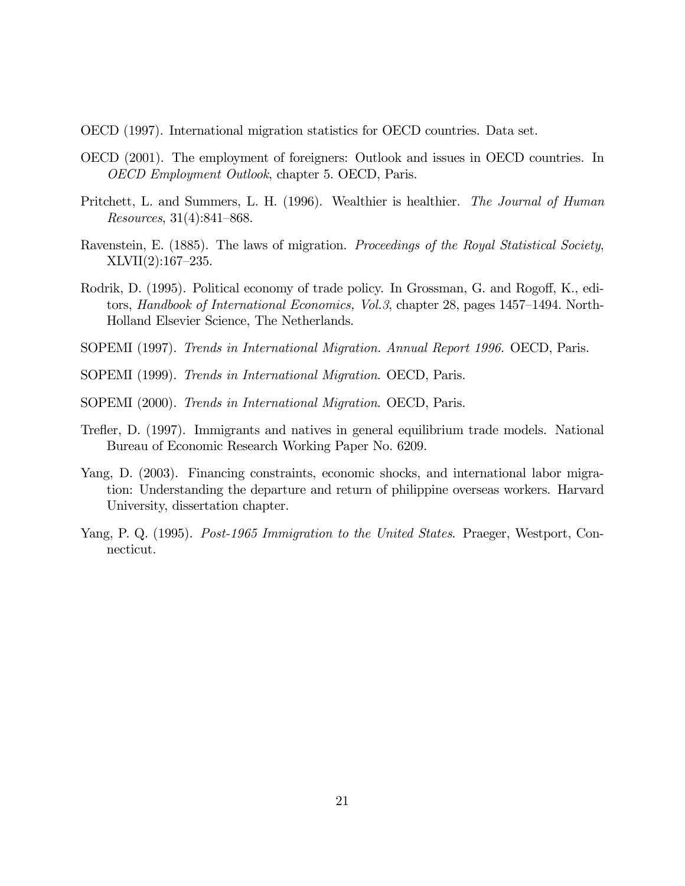- OECD (1997). International migration statistics for OECD countries. Data set.
- OECD (2001). The employment of foreigners: Outlook and issues in OECD countries. In OECD Employment Outlook, chapter 5. OECD, Paris.
- Pritchett, L. and Summers, L. H. (1996). Wealthier is healthier. The Journal of Human Resources, 31(4):841—868.
- Ravenstein, E. (1885). The laws of migration. Proceedings of the Royal Statistical Society, XLVII(2):167—235.
- Rodrik, D. (1995). Political economy of trade policy. In Grossman, G. and Rogoff, K., editors, Handbook of International Economics, Vol.3, chapter 28, pages 1457—1494. North-Holland Elsevier Science, The Netherlands.
- SOPEMI (1997). Trends in International Migration. Annual Report 1996. OECD, Paris.
- SOPEMI (1999). Trends in International Migration. OECD, Paris.
- SOPEMI (2000). Trends in International Migration. OECD, Paris.
- Trefler, D. (1997). Immigrants and natives in general equilibrium trade models. National Bureau of Economic Research Working Paper No. 6209.
- Yang, D. (2003). Financing constraints, economic shocks, and international labor migration: Understanding the departure and return of philippine overseas workers. Harvard University, dissertation chapter.
- Yang, P. Q. (1995). *Post-1965 Immigration to the United States*. Praeger, Westport, Connecticut.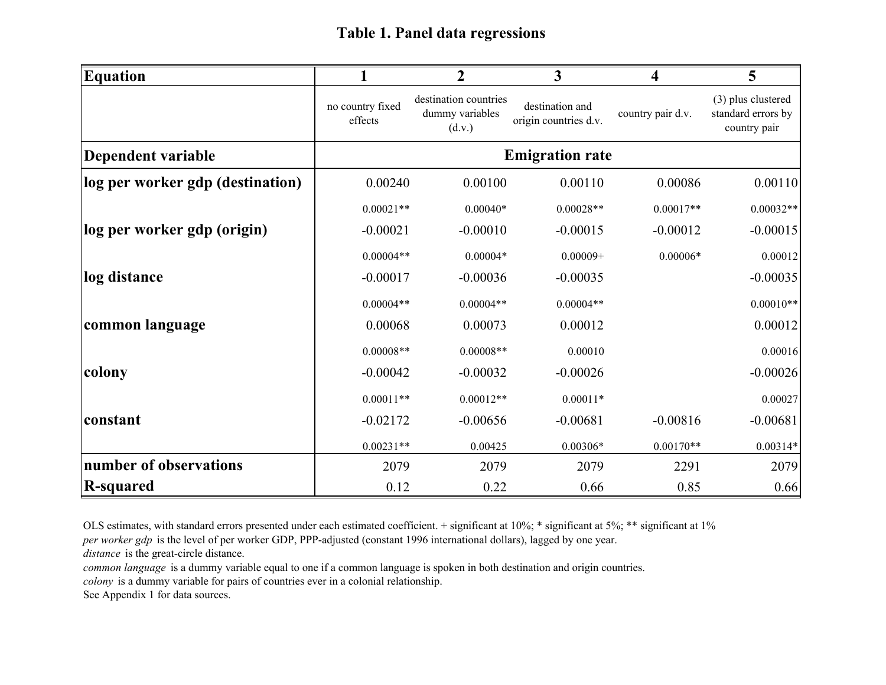| <b>Equation</b>                  |                             | $\overline{2}$                                     | $\mathbf{3}$                             | $\overline{\mathbf{4}}$ | 5                                                        |
|----------------------------------|-----------------------------|----------------------------------------------------|------------------------------------------|-------------------------|----------------------------------------------------------|
|                                  | no country fixed<br>effects | destination countries<br>dummy variables<br>(d.v.) | destination and<br>origin countries d.v. | country pair d.v.       | (3) plus clustered<br>standard errors by<br>country pair |
| Dependent variable               |                             |                                                    | <b>Emigration rate</b>                   |                         |                                                          |
| log per worker gdp (destination) | 0.00240                     | 0.00100                                            | 0.00110                                  | 0.00086                 | 0.00110                                                  |
|                                  | $0.00021**$                 | $0.00040*$                                         | $0.00028**$                              | $0.00017**$             | $0.00032**$                                              |
| log per worker gdp (origin)      | $-0.00021$                  | $-0.00010$                                         | $-0.00015$                               | $-0.00012$              | $-0.00015$                                               |
|                                  | $0.00004**$                 | $0.00004*$                                         | $0.00009+$                               | $0.00006*$              | 0.00012                                                  |
| log distance                     | $-0.00017$                  | $-0.00036$                                         | $-0.00035$                               |                         | $-0.00035$                                               |
|                                  | $0.00004**$                 | $0.00004**$                                        | $0.00004**$                              |                         | $0.00010**$                                              |
| common language                  | 0.00068                     | 0.00073                                            | 0.00012                                  |                         | 0.00012                                                  |
|                                  | $0.00008**$                 | $0.00008**$                                        | 0.00010                                  |                         | 0.00016                                                  |
| colony                           | $-0.00042$                  | $-0.00032$                                         | $-0.00026$                               |                         | $-0.00026$                                               |
|                                  | $0.00011**$                 | $0.00012**$                                        | $0.00011*$                               |                         | 0.00027                                                  |
| constant                         | $-0.02172$                  | $-0.00656$                                         | $-0.00681$                               | $-0.00816$              | $-0.00681$                                               |
|                                  | $0.00231**$                 | 0.00425                                            | $0.00306*$                               | $0.00170**$             | $0.00314*$                                               |
| number of observations           | 2079                        | 2079                                               | 2079                                     | 2291                    | 2079                                                     |
| <b>R</b> -squared                | 0.12                        | 0.22                                               | 0.66                                     | 0.85                    | 0.66                                                     |

OLS estimates, with standard errors presented under each estimated coefficient. + significant at 10%; \* significant at 5%; \*\* significant at 1%

*per worker gdp* is the level of per worker GDP, PPP-adjusted (constant 1996 international dollars), lagged by one year.

*distance* is the great-circle distance.

*common language* is a dummy variable equal to one if a common language is spoken in both destination and origin countries. *colony* is a dummy variable for pairs of countries ever in a colonial relationship.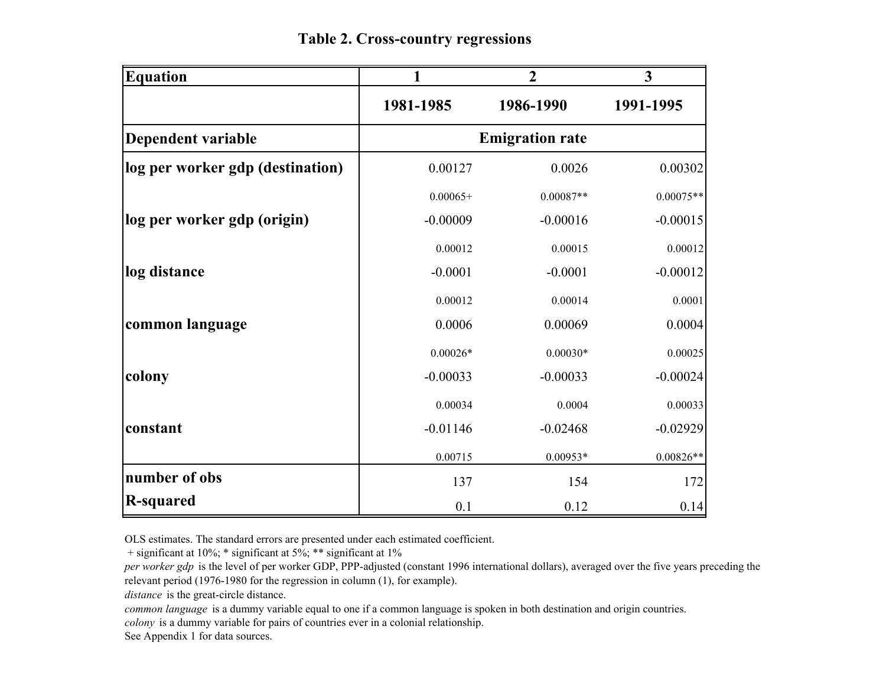**Table 2. Cross-country regressions**

| <b>Equation</b>                  |            | $\overline{2}$         | $\overline{\mathbf{3}}$ |
|----------------------------------|------------|------------------------|-------------------------|
|                                  | 1981-1985  | 1986-1990              | 1991-1995               |
| Dependent variable               |            | <b>Emigration rate</b> |                         |
| log per worker gdp (destination) | 0.00127    | 0.0026                 | 0.00302                 |
|                                  | $0.00065+$ | $0.00087**$            | $0.00075**$             |
| log per worker gdp (origin)      | $-0.00009$ | $-0.00016$             | $-0.00015$              |
|                                  | 0.00012    | 0.00015                | 0.00012                 |
| log distance                     | $-0.0001$  | $-0.0001$              | $-0.00012$              |
|                                  | 0.00012    | 0.00014                | 0.0001                  |
| common language                  | 0.0006     | 0.00069                | 0.0004                  |
|                                  | $0.00026*$ | $0.00030*$             | 0.00025                 |
| colony                           | $-0.00033$ | $-0.00033$             | $-0.00024$              |
|                                  | 0.00034    | 0.0004                 | 0.00033                 |
| constant                         | $-0.01146$ | $-0.02468$             | $-0.02929$              |
|                                  | 0.00715    | $0.00953*$             | $0.00826**$             |
| number of obs                    | 137        | 154                    | 172                     |
| <b>R-squared</b>                 | 0.1        | 0.12                   | 0.14                    |

OLS estimates. The standard errors are presented under each estimated coefficient.

+ significant at 10%; \* significant at 5%; \*\* significant at 1%

*per worker gdp* is the level of per worker GDP, PPP-adjusted (constant 1996 international dollars), averaged over the five years preceding the relevant period (1976-1980 for the regression in column (1), for example).

*distance* is the great-circle distance.

*common language* is a dummy variable equal to one if a common language is spoken in both destination and origin countries.

*colony* is a dummy variable for pairs of countries ever in a colonial relationship.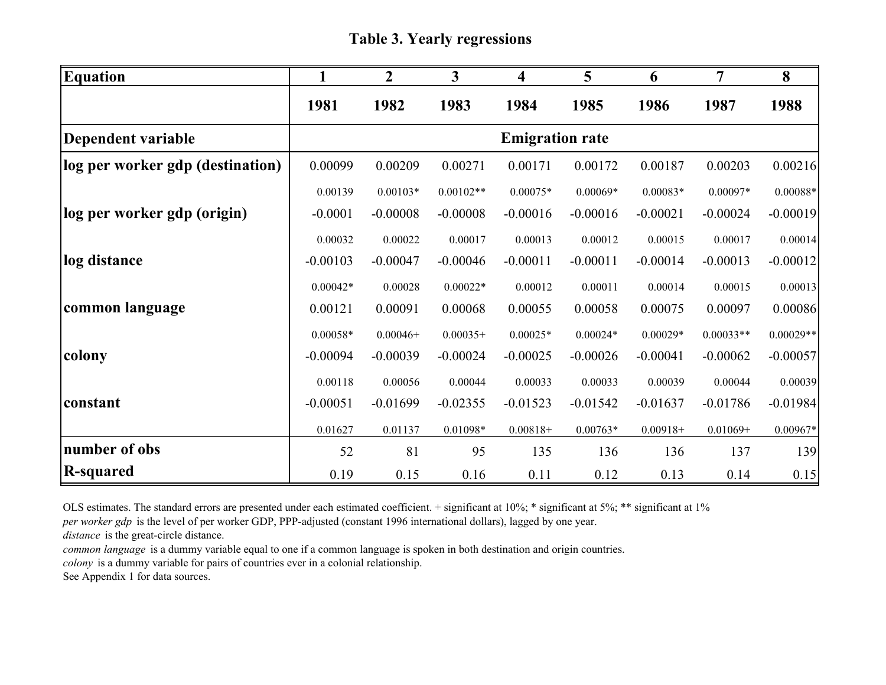**Table 3. Yearly regressions**

| <b>Equation</b>                  |            | $\overline{2}$ | 3           | 4                      | 5          | 6           | 7           | 8           |
|----------------------------------|------------|----------------|-------------|------------------------|------------|-------------|-------------|-------------|
|                                  | 1981       | 1982           | 1983        | 1984                   | 1985       | 1986        | 1987        | 1988        |
| Dependent variable               |            |                |             | <b>Emigration rate</b> |            |             |             |             |
| log per worker gdp (destination) | 0.00099    | 0.00209        | 0.00271     | 0.00171                | 0.00172    | 0.00187     | 0.00203     | 0.00216     |
|                                  | 0.00139    | $0.00103*$     | $0.00102**$ | $0.00075*$             | $0.00069*$ | $0.00083*$  | $0.00097*$  | $0.00088*$  |
| log per worker gdp (origin)      | $-0.0001$  | $-0.00008$     | $-0.00008$  | $-0.00016$             | $-0.00016$ | $-0.00021$  | $-0.00024$  | $-0.00019$  |
|                                  | 0.00032    | 0.00022        | 0.00017     | 0.00013                | 0.00012    | 0.00015     | 0.00017     | 0.00014     |
| log distance                     | $-0.00103$ | $-0.00047$     | $-0.00046$  | $-0.00011$             | $-0.00011$ | $-0.00014$  | $-0.00013$  | $-0.00012$  |
|                                  | $0.00042*$ | 0.00028        | $0.00022*$  | 0.00012                | 0.00011    | 0.00014     | 0.00015     | 0.00013     |
| common language                  | 0.00121    | 0.00091        | 0.00068     | 0.00055                | 0.00058    | 0.00075     | 0.00097     | 0.00086     |
|                                  | $0.00058*$ | $0.00046+$     | $0.00035+$  | $0.00025*$             | $0.00024*$ | $0.00029*$  | $0.00033**$ | $0.00029**$ |
| colony                           | $-0.00094$ | $-0.00039$     | $-0.00024$  | $-0.00025$             | $-0.00026$ | $-0.00041$  | $-0.00062$  | $-0.00057$  |
|                                  | 0.00118    | 0.00056        | 0.00044     | 0.00033                | 0.00033    | 0.00039     | 0.00044     | 0.00039     |
| constant                         | $-0.00051$ | $-0.01699$     | $-0.02355$  | $-0.01523$             | $-0.01542$ | $-0.01637$  | $-0.01786$  | $-0.01984$  |
|                                  | 0.01627    | 0.01137        | 0.01098*    | $0.00818+$             | $0.00763*$ | $0.00918 +$ | $0.01069+$  | $0.00967*$  |
| number of obs                    | 52         | 81             | 95          | 135                    | 136        | 136         | 137         | 139         |
| <b>R-squared</b>                 | 0.19       | 0.15           | 0.16        | 0.11                   | 0.12       | 0.13        | 0.14        | 0.15        |

OLS estimates. The standard errors are presented under each estimated coefficient. + significant at 10%; \* significant at 5%; \*\* significant at 1%

*per worker gdp* is the level of per worker GDP, PPP-adjusted (constant 1996 international dollars), lagged by one year.

*distance* is the great-circle distance.

*common language* is a dummy variable equal to one if a common language is spoken in both destination and origin countries.

*colony* is a dummy variable for pairs of countries ever in a colonial relationship.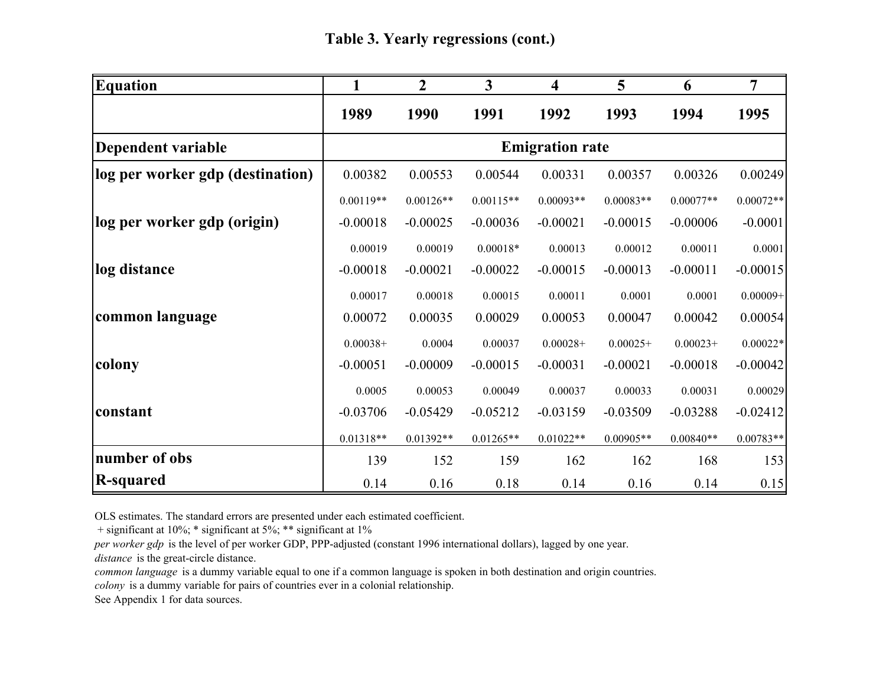| <b>Equation</b>                  | 1           | $\overline{2}$ | $\overline{\mathbf{3}}$ | $\overline{\mathbf{4}}$ | 5           | 6           | 7           |
|----------------------------------|-------------|----------------|-------------------------|-------------------------|-------------|-------------|-------------|
|                                  | 1989        | 1990           | 1991                    | 1992                    | 1993        | 1994        | 1995        |
| Dependent variable               |             |                |                         | <b>Emigration rate</b>  |             |             |             |
| log per worker gdp (destination) | 0.00382     | 0.00553        | 0.00544                 | 0.00331                 | 0.00357     | 0.00326     | 0.00249     |
|                                  | $0.00119**$ | $0.00126**$    | $0.00115**$             | $0.00093**$             | $0.00083**$ | $0.00077**$ | $0.00072**$ |
| log per worker gdp (origin)      | $-0.00018$  | $-0.00025$     | $-0.00036$              | $-0.00021$              | $-0.00015$  | $-0.00006$  | $-0.0001$   |
|                                  | 0.00019     | 0.00019        | $0.00018*$              | 0.00013                 | 0.00012     | 0.00011     | 0.0001      |
| log distance                     | $-0.00018$  | $-0.00021$     | $-0.00022$              | $-0.00015$              | $-0.00013$  | $-0.00011$  | $-0.00015$  |
|                                  | 0.00017     | 0.00018        | 0.00015                 | 0.00011                 | 0.0001      | 0.0001      | $0.00009+$  |
| common language                  | 0.00072     | 0.00035        | 0.00029                 | 0.00053                 | 0.00047     | 0.00042     | 0.00054     |
|                                  | $0.00038+$  | 0.0004         | 0.00037                 | $0.00028+$              | $0.00025+$  | $0.00023+$  | $0.00022*$  |
| colony                           | $-0.00051$  | $-0.00009$     | $-0.00015$              | $-0.00031$              | $-0.00021$  | $-0.00018$  | $-0.00042$  |
|                                  | 0.0005      | 0.00053        | 0.00049                 | 0.00037                 | 0.00033     | 0.00031     | 0.00029     |
| constant                         | $-0.03706$  | $-0.05429$     | $-0.05212$              | $-0.03159$              | $-0.03509$  | $-0.03288$  | $-0.02412$  |
|                                  | $0.01318**$ | $0.01392**$    | $0.01265**$             | $0.01022**$             | $0.00905**$ | $0.00840**$ | $0.00783**$ |
| number of obs                    | 139         | 152            | 159                     | 162                     | 162         | 168         | 153         |
| R-squared                        | 0.14        | 0.16           | 0.18                    | 0.14                    | 0.16        | 0.14        | 0.15        |

OLS estimates. The standard errors are presented under each estimated coefficient.

+ significant at 10%; \* significant at 5%; \*\* significant at 1%

*per worker gdp* is the level of per worker GDP, PPP-adjusted (constant 1996 international dollars), lagged by one year.

*distance* is the great-circle distance.

*common language* is a dummy variable equal to one if a common language is spoken in both destination and origin countries.

*colony* is a dummy variable for pairs of countries ever in a colonial relationship.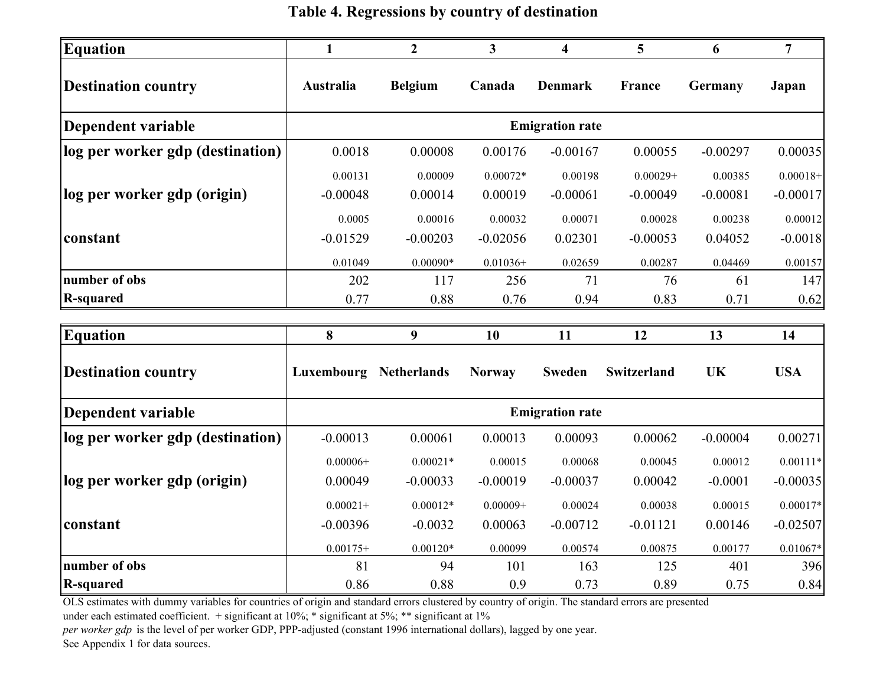**Table 4. Regressions by country of destination**

| <b>Equation</b>                  | $\mathbf{1}$ | $\boldsymbol{2}$   | $\mathbf{3}$  | 4                      | 5           | 6          | $\overline{7}$ |
|----------------------------------|--------------|--------------------|---------------|------------------------|-------------|------------|----------------|
| <b>Destination country</b>       | Australia    | <b>Belgium</b>     | Canada        | <b>Denmark</b>         | France      | Germany    | Japan          |
| Dependent variable               |              |                    |               | <b>Emigration rate</b> |             |            |                |
| log per worker gdp (destination) | 0.0018       | 0.00008            | 0.00176       | $-0.00167$             | 0.00055     | $-0.00297$ | 0.00035        |
|                                  | 0.00131      | 0.00009            | $0.00072*$    | 0.00198                | $0.00029+$  | 0.00385    | $0.00018+$     |
| log per worker gdp (origin)      | $-0.00048$   | 0.00014            | 0.00019       | $-0.00061$             | $-0.00049$  | $-0.00081$ | $-0.00017$     |
|                                  | 0.0005       | 0.00016            | 0.00032       | 0.00071                | 0.00028     | 0.00238    | 0.00012        |
| constant                         | $-0.01529$   | $-0.00203$         | $-0.02056$    | 0.02301                | $-0.00053$  | 0.04052    | $-0.0018$      |
|                                  | 0.01049      | $0.00090*$         | $0.01036+$    | 0.02659                | 0.00287     | 0.04469    | 0.00157        |
| number of obs                    | 202          | 117                | 256           | 71                     | 76          | 61         | 147            |
| <b>R-squared</b>                 | 0.77         | 0.88               | 0.76          | 0.94                   | 0.83        | 0.71       | 0.62           |
| <b>Equation</b>                  | 8            | 9                  | 10            | 11                     | 12          | 13         | 14             |
| <b>Destination country</b>       | Luxembourg   | <b>Netherlands</b> |               | <b>Sweden</b>          | Switzerland |            | <b>USA</b>     |
|                                  |              |                    | <b>Norway</b> |                        |             | <b>UK</b>  |                |
| <b>Dependent variable</b>        |              |                    |               | <b>Emigration rate</b> |             |            |                |
| log per worker gdp (destination) | $-0.00013$   | 0.00061            | 0.00013       | 0.00093                | 0.00062     | $-0.00004$ | 0.00271        |
|                                  | $0.00006+$   | $0.00021*$         | 0.00015       | 0.00068                | 0.00045     | 0.00012    | $0.00111*$     |
| log per worker gdp (origin)      | 0.00049      | $-0.00033$         | $-0.00019$    | $-0.00037$             | 0.00042     | $-0.0001$  | $-0.00035$     |
|                                  | $0.00021 +$  | $0.00012*$         | $0.00009 +$   | 0.00024                | 0.00038     | 0.00015    | $0.00017*$     |
| constant                         | $-0.00396$   | $-0.0032$          | 0.00063       | $-0.00712$             | $-0.01121$  | 0.00146    | $-0.02507$     |
|                                  | $0.00175+$   | $0.00120*$         | 0.00099       | 0.00574                | 0.00875     | 0.00177    | $0.01067*$     |
| number of obs                    | 81           | 94                 | 101           | 163                    | 125         | 401        | 396            |

OLS estimates with dummy variables for countries of origin and standard errors clustered by country of origin. The standard errors are presented

under each estimated coefficient. + significant at 10%; \* significant at 5%; \*\* significant at 1%

*per worker gdp* is the level of per worker GDP, PPP-adjusted (constant 1996 international dollars), lagged by one year.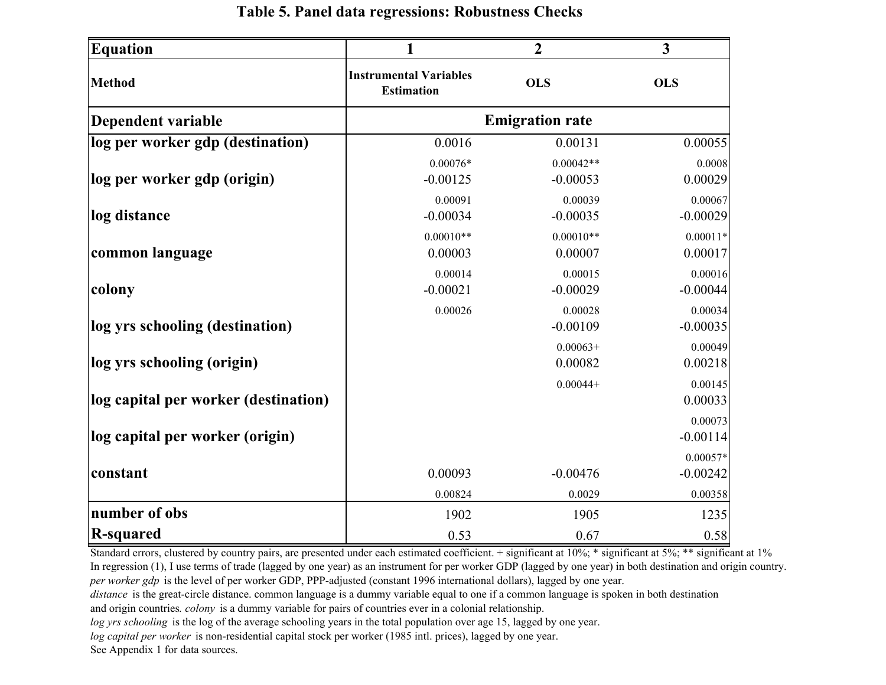| <b>Equation</b>                      |                                                    | $\boldsymbol{2}$          | $\overline{\mathbf{3}}$  |
|--------------------------------------|----------------------------------------------------|---------------------------|--------------------------|
| <b>Method</b>                        | <b>Instrumental Variables</b><br><b>Estimation</b> | <b>OLS</b>                | <b>OLS</b>               |
| Dependent variable                   |                                                    | <b>Emigration rate</b>    |                          |
| log per worker gdp (destination)     | 0.0016                                             | 0.00131                   | 0.00055                  |
| log per worker gdp (origin)          | $0.00076*$<br>$-0.00125$                           | $0.00042**$<br>$-0.00053$ | 0.0008<br>0.00029        |
| log distance                         | 0.00091<br>$-0.00034$                              | 0.00039<br>$-0.00035$     | 0.00067<br>$-0.00029$    |
| common language                      | $0.00010**$<br>0.00003                             | $0.00010**$<br>0.00007    | $0.00011*$<br>0.00017    |
| colony                               | 0.00014<br>$-0.00021$                              | 0.00015<br>$-0.00029$     | 0.00016<br>$-0.00044$    |
| log yrs schooling (destination)      | 0.00026                                            | 0.00028<br>$-0.00109$     | 0.00034<br>$-0.00035$    |
| log yrs schooling (origin)           |                                                    | $0.00063+$<br>0.00082     | 0.00049<br>0.00218       |
| log capital per worker (destination) |                                                    | $0.00044+$                | 0.00145<br>0.00033       |
| log capital per worker (origin)      |                                                    |                           | 0.00073<br>$-0.00114$    |
| constant                             | 0.00093                                            | $-0.00476$                | $0.00057*$<br>$-0.00242$ |
|                                      | 0.00824                                            | 0.0029                    | 0.00358                  |
| number of obs                        | 1902                                               | 1905                      | 1235                     |
| <b>R-squared</b>                     | 0.53                                               | 0.67                      | 0.58                     |

#### **Table 5. Panel data regressions: Robustness Checks**

Standard errors, clustered by country pairs, are presented under each estimated coefficient. + significant at 10%; \* significant at 5%; \*\* significant at 1% In regression (1), I use terms of trade (lagged by one year) as an instrument for per worker GDP (lagged by one year) in both destination and origin country. *per worker gdp* is the level of per worker GDP, PPP-adjusted (constant 1996 international dollars), lagged by one year.

*distance* is the great-circle distance. common language is a dummy variable equal to one if a common language is spoken in both destination and origin countries*. colony* is a dummy variable for pairs of countries ever in a colonial relationship.

*log yrs schooling* is the log of the average schooling years in the total population over age 15, lagged by one year.

*log capital per worker* is non-residential capital stock per worker (1985 intl. prices), lagged by one year.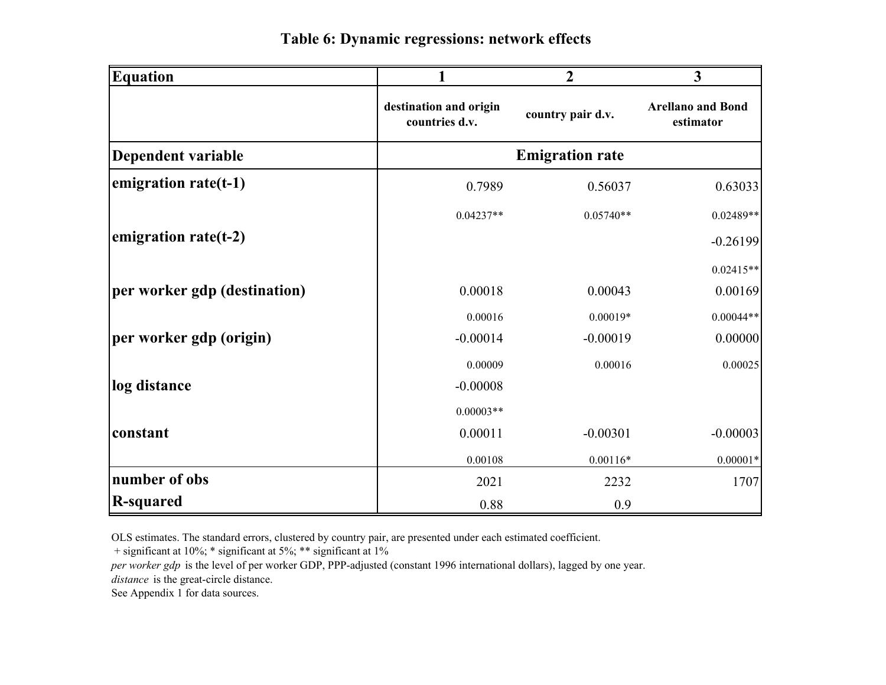| <b>Equation</b>              | 1                                        | $\overline{2}$         | $\mathbf{3}$                          |  |
|------------------------------|------------------------------------------|------------------------|---------------------------------------|--|
|                              | destination and origin<br>countries d.v. | country pair d.v.      | <b>Arellano and Bond</b><br>estimator |  |
| Dependent variable           |                                          | <b>Emigration rate</b> |                                       |  |
| emigration rate(t-1)         | 0.7989                                   | 0.56037                | 0.63033                               |  |
|                              | $0.04237**$                              | $0.05740**$            | $0.02489**$                           |  |
| emigration rate $(t-2)$      |                                          |                        | $-0.26199$                            |  |
|                              |                                          |                        | $0.02415**$                           |  |
| per worker gdp (destination) | 0.00018                                  | 0.00043                | 0.00169                               |  |
|                              | 0.00016                                  | $0.00019*$             | $0.00044**$                           |  |
| per worker gdp (origin)      | $-0.00014$                               | $-0.00019$             | 0.00000                               |  |
|                              | 0.00009                                  | 0.00016                | 0.00025                               |  |
| log distance                 | $-0.00008$                               |                        |                                       |  |
|                              | $0.00003**$                              |                        |                                       |  |
| constant                     | 0.00011                                  | $-0.00301$             | $-0.00003$                            |  |
|                              | 0.00108                                  | $0.00116*$             | $0.00001*$                            |  |
| number of obs                | 2021                                     | 2232                   | 1707                                  |  |
| R-squared                    | 0.88                                     | 0.9                    |                                       |  |

OLS estimates. The standard errors, clustered by country pair, are presented under each estimated coefficient.

+ significant at 10%; \* significant at 5%; \*\* significant at 1%

*per worker gdp* is the level of per worker GDP, PPP-adjusted (constant 1996 international dollars), lagged by one year.

*distance* is the great-circle distance.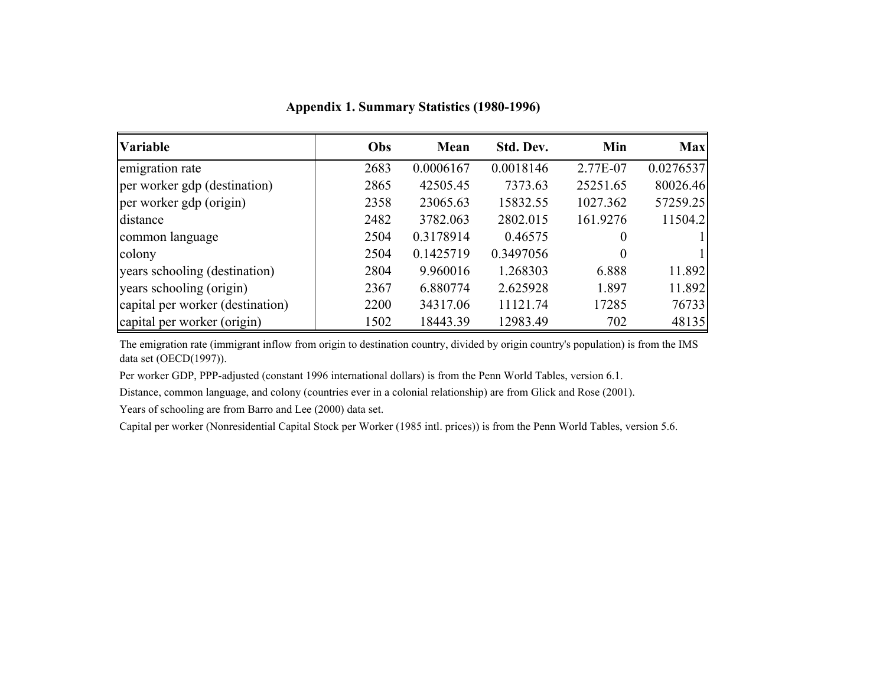| <b>Variable</b>                  | Obs  | Mean      | Std. Dev. | Min      | <b>Max</b> |
|----------------------------------|------|-----------|-----------|----------|------------|
| emigration rate                  | 2683 | 0.0006167 | 0.0018146 | 2.77E-07 | 0.0276537  |
| per worker gdp (destination)     | 2865 | 42505.45  | 7373.63   | 25251.65 | 80026.46   |
| per worker gdp (origin)          | 2358 | 23065.63  | 15832.55  | 1027.362 | 57259.25   |
| distance                         | 2482 | 3782.063  | 2802.015  | 161.9276 | 11504.2    |
| common language                  | 2504 | 0.3178914 | 0.46575   | 0        |            |
| colony                           | 2504 | 0.1425719 | 0.3497056 | $\theta$ |            |
| years schooling (destination)    | 2804 | 9.960016  | 1.268303  | 6.888    | 11.892     |
| years schooling (origin)         | 2367 | 6.880774  | 2.625928  | 1.897    | 11.892     |
| capital per worker (destination) | 2200 | 34317.06  | 11121.74  | 17285    | 76733      |
| capital per worker (origin)      | 1502 | 18443.39  | 12983.49  | 702      | 48135      |

**Appendix 1. Summary Statistics (1980-1996)**

The emigration rate (immigrant inflow from origin to destination country, divided by origin country's population) is from the IMS data set (OECD(1997)).

Per worker GDP, PPP-adjusted (constant 1996 international dollars) is from the Penn World Tables, version 6.1.

Distance, common language, and colony (countries ever in a colonial relationship) are from Glick and Rose (2001).

Years of schooling are from Barro and Lee (2000) data set.

Capital per worker (Nonresidential Capital Stock per Worker (1985 intl. prices)) is from the Penn World Tables, version 5.6.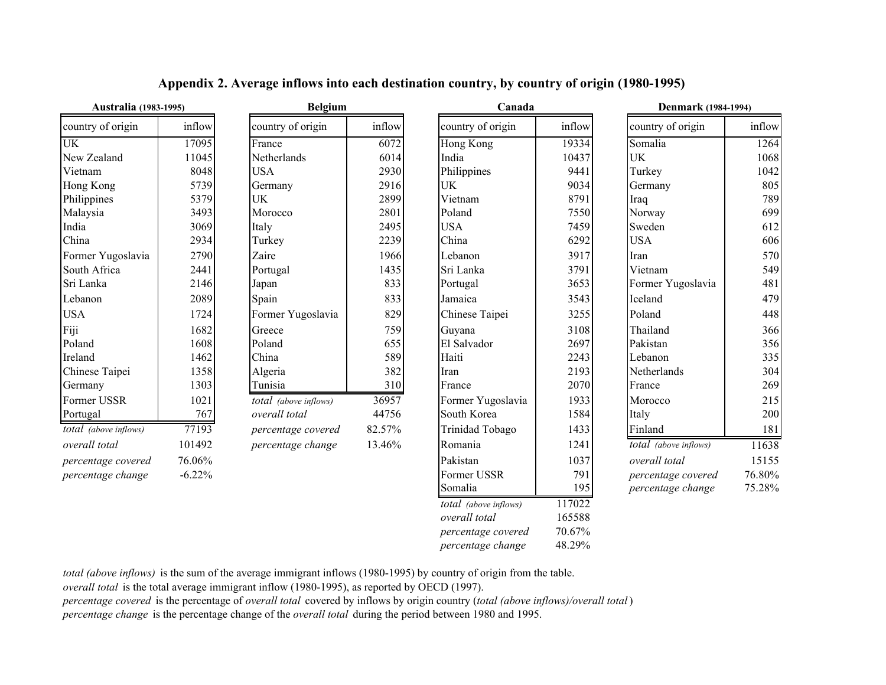| Australia (1983-1995) |          | <b>Belgium</b>        |   |
|-----------------------|----------|-----------------------|---|
| country of origin     | inflow   | country of origin     |   |
| <b>UK</b>             | 17095    | France                |   |
| New Zealand           | 11045    | Netherlands           |   |
| Vietnam               | 8048     | USA                   |   |
| Hong Kong             | 5739     | Germany               |   |
| Philippines           | 5379     | UK                    |   |
| Malaysia              | 3493     | Morocco               |   |
| India                 | 3069     | Italy                 |   |
| China                 | 2934     | Turkey                |   |
| Former Yugoslavia     | 2790     | Zaire                 |   |
| South Africa          | 2441     | Portugal              |   |
| Sri Lanka             | 2146     | Japan                 |   |
| Lebanon               | 2089     | Spain                 |   |
| <b>USA</b>            | 1724     | Former Yugoslavia     |   |
| Fiji                  | 1682     | Greece                |   |
| Poland                | 1608     | Poland                |   |
| Ireland               | 1462     | China                 |   |
| Chinese Taipei        | 1358     | Algeria               |   |
| Germany               | 1303     | Tunisia               |   |
| Former USSR           | 1021     | total (above inflows) |   |
| Portugal              | 767      | overall total         |   |
| total (above inflows) | 77193    | percentage covered    | 8 |
| overall total         | 101492   | percentage change     | 1 |
| percentage covered    | 76.06%   |                       |   |
| percentage change     | $-6.22%$ |                       |   |
|                       |          |                       |   |

#### **Appendix 2. Average inflows into each destination country, by country of origin (1980-1995)**

| <b>Australia</b> (1983-1995) |          | <b>Belgium</b>        |        | Canada                |        | <b>Denmark</b> (1984-1994) |        |
|------------------------------|----------|-----------------------|--------|-----------------------|--------|----------------------------|--------|
| country of origin            | inflow   | country of origin     | inflow | country of origin     | inflow | country of origin          | inflow |
| $\overline{UK}$              | 17095    | France                | 6072   | Hong Kong             | 19334  | Somalia                    | 1264   |
| New Zealand                  | 11045    | Netherlands           | 6014   | India                 | 10437  | <b>UK</b>                  | 1068   |
| Vietnam                      | 8048     | <b>USA</b>            | 2930   | Philippines           | 9441   | Turkey                     | 1042   |
| Hong Kong                    | 5739     | Germany               | 2916   | UK                    | 9034   | Germany                    | 805    |
| Philippines                  | 5379     | UK                    | 2899   | Vietnam               | 8791   | Iraq                       | 789    |
| Malaysia                     | 3493     | Morocco               | 2801   | Poland                | 7550   | Norway                     | 699    |
| India                        | 3069     | Italy                 | 2495   | <b>USA</b>            | 7459   | Sweden                     | 612    |
| China                        | 2934     | Turkey                | 2239   | China                 | 6292   | <b>USA</b>                 | 606    |
| Former Yugoslavia            | 2790     | Zaire                 | 1966   | Lebanon               | 3917   | Iran                       | 570    |
| South Africa                 | 2441     | Portugal              | 1435   | Sri Lanka             | 3791   | Vietnam                    | 549    |
| Sri Lanka                    | 2146     | Japan                 | 833    | Portugal              | 3653   | Former Yugoslavia          | 481    |
| Lebanon                      | 2089     | Spain                 | 833    | Jamaica               | 3543   | Iceland                    | 479    |
| <b>USA</b>                   | 1724     | Former Yugoslavia     | 829    | Chinese Taipei        | 3255   | Poland                     | 448    |
| Fiji                         | 1682     | Greece                | 759    | Guyana                | 3108   | Thailand                   | 366    |
| Poland                       | 1608     | Poland                | 655    | El Salvador           | 2697   | Pakistan                   | 356    |
| Ireland                      | 1462     | China                 | 589    | Haiti                 | 2243   | Lebanon                    | 335    |
| Chinese Taipei               | 1358     | Algeria               | 382    | Iran                  | 2193   | Netherlands                | 304    |
| Germany                      | 1303     | Tunisia               | 310    | France                | 2070   | France                     | 269    |
| Former USSR                  | 1021     | total (above inflows) | 36957  | Former Yugoslavia     | 1933   | Morocco                    | 215    |
| Portugal                     | 767      | overall total         | 44756  | South Korea           | 1584   | Italy                      | 200    |
| total (above inflows)        | 77193    | percentage covered    | 82.57% | Trinidad Tobago       | 1433   | Finland                    | 181    |
| overall total                | 101492   | percentage change     | 13.46% | Romania               | 1241   | total (above inflows)      | 11638  |
| percentage covered           | 76.06%   |                       |        | Pakistan              | 1037   | overall total              | 15155  |
| percentage change            | $-6.22%$ |                       |        | Former USSR           | 791    | percentage covered         | 76.80% |
|                              |          |                       |        | Somalia               | 195    | percentage change          | 75.28% |
|                              |          |                       |        | total (above inflows) | 117022 |                            |        |
|                              |          |                       |        | overall total         | 165588 |                            |        |
|                              |          |                       |        | percentage covered    | 70.67% |                            |        |

*percentage change* 48.29%

*total (above inflows)* is the sum of the average immigrant inflows (1980-1995) by country of origin from the table.

*overall total* is the total average immigrant inflow (1980-1995), as reported by OECD (1997).

*percentage covered* is the percentage of *overall total* covered by inflows by origin country (*total (above inflows)/overall total* ) *percentage change* is the percentage change of the *overall total* during the period between 1980 and 1995.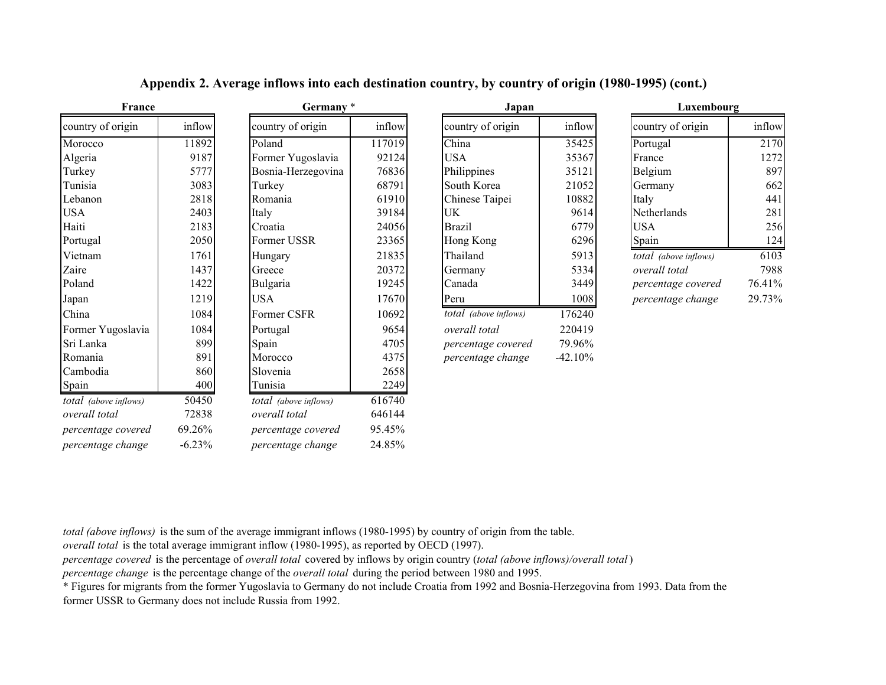| France                |          | Germany*              |        | Japan                        |           | Luxembourg                   |        |
|-----------------------|----------|-----------------------|--------|------------------------------|-----------|------------------------------|--------|
| country of origin     | inflow   | country of origin     | inflow | country of origin            | inflow    | country of origin            | inflow |
| Morocco               | 11892    | Poland                | 117019 | China                        | 35425     | Portugal                     | 2170   |
| Algeria               | 9187     | Former Yugoslavia     | 92124  | <b>USA</b>                   | 35367     | France                       | 1272   |
| Turkey                | 5777     | Bosnia-Herzegovina    | 76836  | Philippines                  | 35121     | Belgium                      | 897    |
| Tunisia               | 3083     | Turkey                | 68791  | South Korea                  | 21052     | Germany                      | 662    |
| Lebanon               | 2818     | Romania               | 61910  | Chinese Taipei               | 10882     | Italy                        | 441    |
| <b>USA</b>            | 2403     | Italy                 | 39184  | UK                           | 9614      | Netherlands                  | 281    |
| Haiti                 | 2183     | Croatia               | 24056  | <b>Brazil</b>                | 6779      | <b>USA</b>                   | 256    |
| Portugal              | 2050     | Former USSR           | 23365  | Hong Kong                    | 6296      | Spain                        | 124    |
| Vietnam               | 1761     | Hungary               | 21835  | Thailand                     | 5913      | <i>total</i> (above inflows) | 6103   |
| Zaire                 | 1437     | Greece                | 20372  | Germany                      | 5334      | overall total                | 7988   |
| Poland                | 1422     | Bulgaria              | 19245  | Canada                       | 3449      | percentage covered           | 76.41% |
| Japan                 | 1219     | <b>USA</b>            | 17670  | Peru                         | 1008      | percentage change            | 29.73% |
| China                 | 1084     | Former CSFR           | 10692  | <i>total</i> (above inflows) | 176240    |                              |        |
| Former Yugoslavia     | 1084     | Portugal              | 9654   | overall total                | 220419    |                              |        |
| Sri Lanka             | 899      | Spain                 | 4705   | percentage covered           | 79.96%    |                              |        |
| Romania               | 891      | Morocco               | 4375   | percentage change            | $-42.10%$ |                              |        |
| Cambodia              | 860      | Slovenia              | 2658   |                              |           |                              |        |
| Spain                 | 400      | Tunisia               | 2249   |                              |           |                              |        |
| total (above inflows) | 50450    | total (above inflows) | 616740 |                              |           |                              |        |
| overall total         | 72838    | overall total         | 646144 |                              |           |                              |        |
| percentage covered    | 69.26%   | percentage covered    | 95.45% |                              |           |                              |        |
| percentage change     | $-6.23%$ | percentage change     | 24.85% |                              |           |                              |        |

#### **Appendix 2. Average inflows into each destination country, by country of origin (1980-1995) (cont.)**

|                         | Japan                     |           |
|-------------------------|---------------------------|-----------|
| $\bar{N}$               | country of origin         | inflow    |
| 9                       | China                     | 35425     |
| 4                       | USA                       | 35367     |
| 6                       | Philippines               | 35121     |
| 1                       | South Korea               | 21052     |
| $\overline{0}$          | Chinese Taipei            | 10882     |
| 4                       | UK                        | 9614      |
| 6                       | Brazil                    | 6779      |
| 5                       | Hong Kong                 | 6296      |
| 5                       | Thailand                  | 5913      |
|                         | Germany                   | 5334      |
| $\frac{2}{5}$           | Canada                    | 3449      |
| $\overline{0}$          | Peru                      | 1008      |
| $\overline{\mathbf{c}}$ | total (above inflows)     | 176240    |
| 4                       | overall total             | 220419    |
| 5                       | <i>percentage covered</i> | 79.96%    |
| 5                       | percentage change         | $-42.10%$ |

| Luxembourg            |        |  |  |  |  |
|-----------------------|--------|--|--|--|--|
| country of origin     | inflow |  |  |  |  |
| Portugal              | 2170   |  |  |  |  |
| France                | 1272   |  |  |  |  |
| Belgium               | 897    |  |  |  |  |
| Germany               | 662    |  |  |  |  |
| Italy                 | 441    |  |  |  |  |
| Netherlands           | 281    |  |  |  |  |
| <b>USA</b>            | 256    |  |  |  |  |
| Spain                 | 124    |  |  |  |  |
| total (above inflows) | 6103   |  |  |  |  |
| overall total         | 7988   |  |  |  |  |
| percentage covered    | 76.41% |  |  |  |  |
| percentage change     | 29.73% |  |  |  |  |

*total (above inflows)* is the sum of the average immigrant inflows (1980-1995) by country of origin from the table.

*overall total* is the total average immigrant inflow (1980-1995), as reported by OECD (1997).

*percentage covered* is the percentage of *overall total* covered by inflows by origin country (*total (above inflows)/overall total*)

*percentage change* is the percentage change of the *overall total* during the period between 1980 and 1995.

\* Figures for migrants from the former Yugoslavia to Germany do not include Croatia from 1992 and Bosnia-Herzegovina from 1993. Data from the former USSR to Germany does not include Russia from 1992.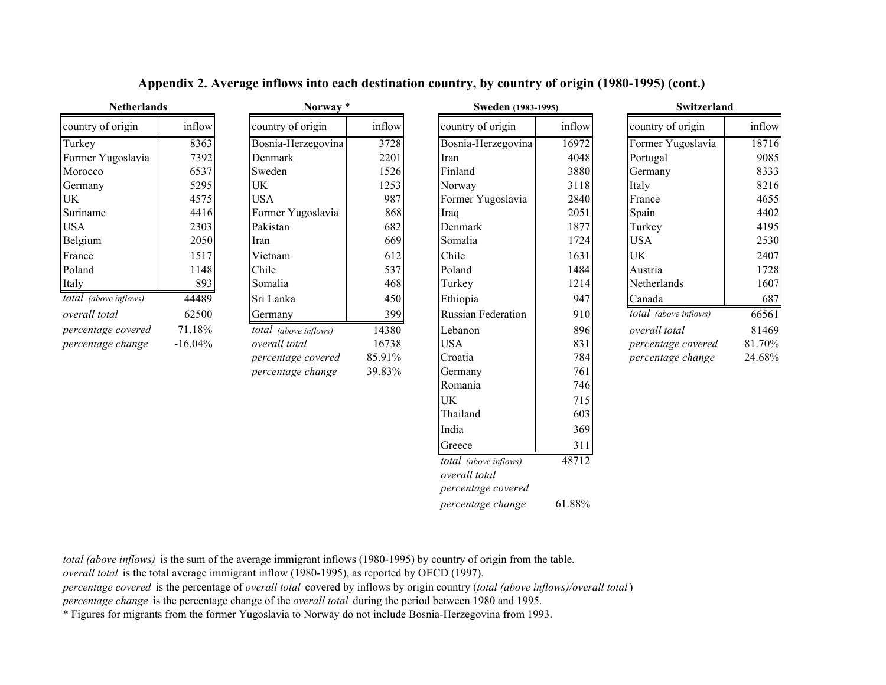#### **Appendix 2. Average inflows into each destination country, by country of origin (1980-1995) (cont.)**

| untry of origin     | inflow |
|---------------------|--------|
| osnia-Herzegovina   | 3728   |
| enmark              | 2201   |
| veden               | 1526   |
| K.                  | 1253   |
| SА                  | 987    |
| ormer Yugoslavia    | 868    |
| ıkistan             | 682    |
| an                  | 669    |
| ietnam              | 612    |
| nile                | 537    |
| omalia              | 468    |
| i Lanka             | 450    |
| ermany              | 399    |
| tal (above inflows) | 14380  |
| erall total         | 16738  |
| rcentage covered    | 85.91% |
| rcentage change     | 39.83% |

| <b>TEUTELIATUS</b>    |           | $1101$ way                   |        | <b>SWEUEH (1703-1773)</b>              |        | <b>SWILLEI IAIIU</b>  |        |
|-----------------------|-----------|------------------------------|--------|----------------------------------------|--------|-----------------------|--------|
| country of origin     | inflow    | country of origin            | inflow | country of origin                      | inflow | country of origin     | inflow |
| Turkey                | 8363      | Bosnia-Herzegovina           | 3728   | Bosnia-Herzegovina                     | 16972  | Former Yugoslavia     | 18716  |
| Former Yugoslavia     | 7392      | <b>Denmark</b>               | 2201   | Iran                                   | 4048   | Portugal              | 9085   |
| Morocco               | 6537      | Sweden                       | 1526   | Finland                                | 3880   | Germany               | 8333   |
| Germany               | 5295      | UK                           | 1253   | Norway                                 | 3118   | Italy                 | 8216   |
| UK                    | 4575      | <b>USA</b>                   | 987    | Former Yugoslavia                      | 2840   | France                | 4655   |
| Suriname              | 4416      | Former Yugoslavia            | 868    | Iraq                                   | 2051   | Spain                 | 4402   |
| <b>USA</b>            | 2303      | Pakistan                     | 682    | Denmark                                | 1877   | Turkey                | 4195   |
| Belgium               | 2050      | Iran                         | 669    | Somalia                                | 1724   | <b>USA</b>            | 2530   |
| France                | 1517      | Vietnam                      | 612    | Chile                                  | 1631   | <b>UK</b>             | 2407   |
| Poland                | 1148      | Chile                        | 537    | Poland                                 | 1484   | Austria               | 1728   |
| Italy                 | 893       | Somalia                      | 468    | Turkey                                 | 1214   | Netherlands           | 1607   |
| total (above inflows) | 44489     | Sri Lanka                    | 450    | Ethiopia                               | 947    | Canada                | 687    |
| overall total         | 62500     | Germany                      | 399    | <b>Russian Federation</b>              | 910    | total (above inflows) | 66561  |
| percentage covered    | 71.18%    | <i>total</i> (above inflows) | 14380  | Lebanon                                | 896    | overall total         | 81469  |
| percentage change     | $-16.04%$ | overall total                | 16738  | <b>USA</b>                             | 831    | percentage covered    | 81.70% |
|                       |           | percentage covered           | 85.91% | Croatia                                | 784    | percentage change     | 24.68% |
|                       |           | percentage change            | 39.83% | Germany                                | 761    |                       |        |
|                       |           |                              |        | Romania                                | 746    |                       |        |
|                       |           |                              |        | UK                                     | 715    |                       |        |
|                       |           |                              |        | Thailand                               | 603    |                       |        |
|                       |           |                              |        | India                                  | 369    |                       |        |
|                       |           |                              |        | Greece                                 | 311    |                       |        |
|                       |           |                              |        | total (above inflows)<br>overall total | 48712  |                       |        |
|                       |           |                              |        | percentage covered                     |        |                       |        |
|                       |           |                              |        | percentage change                      | 61.88% |                       |        |

|            | Norway *              |        | <b>Sweden</b> (1983-1995) | Switzerland |                       |        |
|------------|-----------------------|--------|---------------------------|-------------|-----------------------|--------|
| inflow     | country of origin     | inflow | country of origin         | inflow      | country of origin     | inflow |
| 8363       | Bosnia-Herzegovina    | 3728   | Bosnia-Herzegovina        | 16972       | Former Yugoslavia     | 18716  |
| 7392       | Denmark               | 2201   | Iran                      | 4048        | Portugal              | 9085   |
| 6537       | Sweden                | 1526   | Finland                   | 3880        | Germany               | 8333   |
| 5295       | UK                    | 1253   | Norway                    | 3118        | Italy                 | 8216   |
| 4575       | <b>USA</b>            | 987    | Former Yugoslavia         | 2840        | France                | 4655   |
| 4416       | Former Yugoslavia     | 868    | Iraq                      | 2051        | Spain                 | 4402   |
| 2303       | Pakistan              | 682    | Denmark                   | 1877        | Turkey                | 4195   |
| 2050       | Iran                  | 669    | Somalia                   | 1724        | <b>USA</b>            | 2530   |
| 1517       | Vietnam               | 612    | Chile                     | 1631        | UK                    | 2407   |
| 1148       | Chile                 | 537    | Poland                    | 1484        | Austria               | 1728   |
| 893        | Somalia               | 468    | Turkey                    | 1214        | Netherlands           | 1607   |
| 44489      | Sri Lanka             | 450    | Ethiopia                  | 947         | Canada                | 687    |
| 62500      | Germany               | 399    | <b>Russian Federation</b> | 910         | total (above inflows) | 66561  |
| 71.18%     | total (above inflows) | 14380  | Lebanon                   | 896         | overall total         | 81469  |
| $-16.04\%$ | overall total         | 16738  | <b>USA</b>                | 831         | percentage covered    | 81.70% |
|            | percentage covered    | 85.91% | Croatia                   | 784         | percentage change     | 24.68% |
|            | percentage change     | 39.83% | Germany                   | 7611        |                       |        |

*total (above inflows)* is the sum of the average immigrant inflows (1980-1995) by country of origin from the table.

*overall total* is the total average immigrant inflow (1980-1995), as reported by OECD (1997).

*percentage covered* is the percentage of *overall total* covered by inflows by origin country (*total (above inflows)/overall total*)

*percentage change* is the percentage change of the *overall total* during the period between 1980 and 1995.

\* Figures for migrants from the former Yugoslavia to Norway do not include Bosnia-Herzegovina from 1993.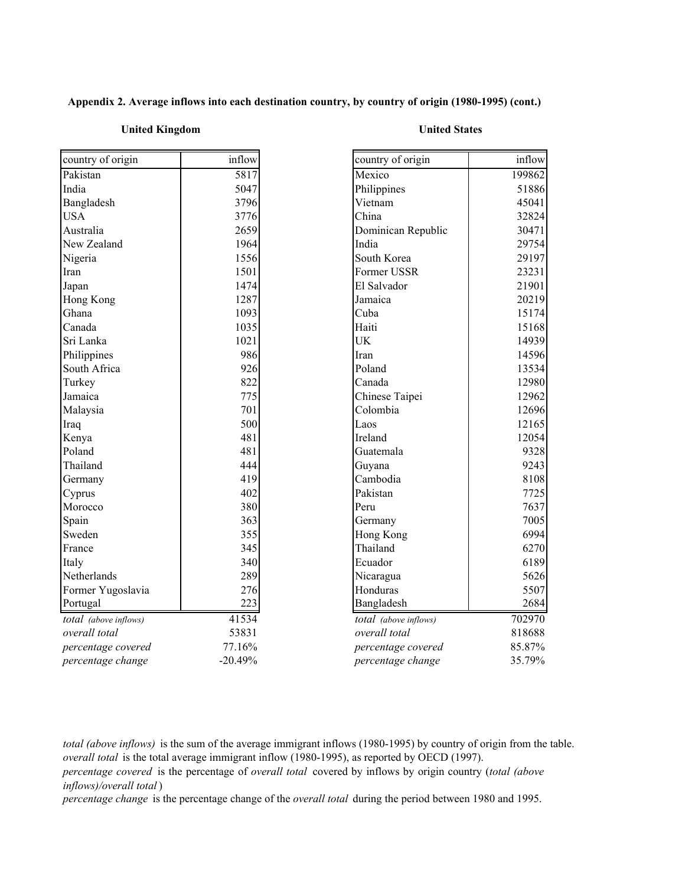#### **Appendix 2. Average inflows into each destination country, by country of origin (1980-1995) (cont.)**

#### **United Kingdom United States**

| country of origin     | inflow    | country of origin     | inflow |
|-----------------------|-----------|-----------------------|--------|
| Pakistan              | 5817      | Mexico                | 199862 |
| India                 | 5047      | Philippines           | 51886  |
| Bangladesh            | 3796      | Vietnam               | 45041  |
| <b>USA</b>            | 3776      | China                 | 32824  |
| Australia             | 2659      | Dominican Republic    | 30471  |
| New Zealand           | 1964      | India                 | 29754  |
| Nigeria               | 1556      | South Korea           | 29197  |
| Iran                  | 1501      | Former USSR           | 23231  |
| Japan                 | 1474      | El Salvador           | 21901  |
| Hong Kong             | 1287      | Jamaica               | 20219  |
| Ghana                 | 1093      | Cuba                  | 15174  |
| Canada                | 1035      | Haiti                 | 15168  |
| Sri Lanka             | 1021      | <b>UK</b>             | 14939  |
| Philippines           | 986       | Iran                  | 14596  |
| South Africa          | 926       | Poland                | 13534  |
| Turkey                | 822       | Canada                | 12980  |
| Jamaica               | 775       | Chinese Taipei        | 12962  |
| Malaysia              | 701       | Colombia              | 12696  |
| Iraq                  | 500       | Laos                  | 12165  |
| Kenya                 | 481       | Ireland               | 12054  |
| Poland                | 481       | Guatemala             | 9328   |
| Thailand              | 444       | Guyana                | 9243   |
| Germany               | 419       | Cambodia              | 8108   |
| Cyprus                | 402       | Pakistan              | 7725   |
| Morocco               | 380       | Peru                  | 7637   |
| Spain                 | 363       | Germany               | 7005   |
| Sweden                | 355       | Hong Kong             | 6994   |
| France                | 345       | Thailand              | 6270   |
| Italy                 | 340       | Ecuador               | 6189   |
| Netherlands           | 289       | Nicaragua             | 5626   |
| Former Yugoslavia     | 276       | Honduras              | 5507   |
| Portugal              | 223       | Bangladesh            | 2684   |
| total (above inflows) | 41534     | total (above inflows) | 702970 |
| overall total         | 53831     | overall total         | 818688 |
| percentage covered    | 77.16%    | percentage covered    | 85.87% |
| percentage change     | $-20.49%$ | percentage change     | 35.79% |

*total (above inflows)* is the sum of the average immigrant inflows (1980-1995) by country of origin from the table. *overall total* is the total average immigrant inflow (1980-1995), as reported by OECD (1997).

*percentage covered* is the percentage of *overall total* covered by inflows by origin country (*total (above inflows)/overall total* )

*percentage change* is the percentage change of the *overall total* during the period between 1980 and 1995.